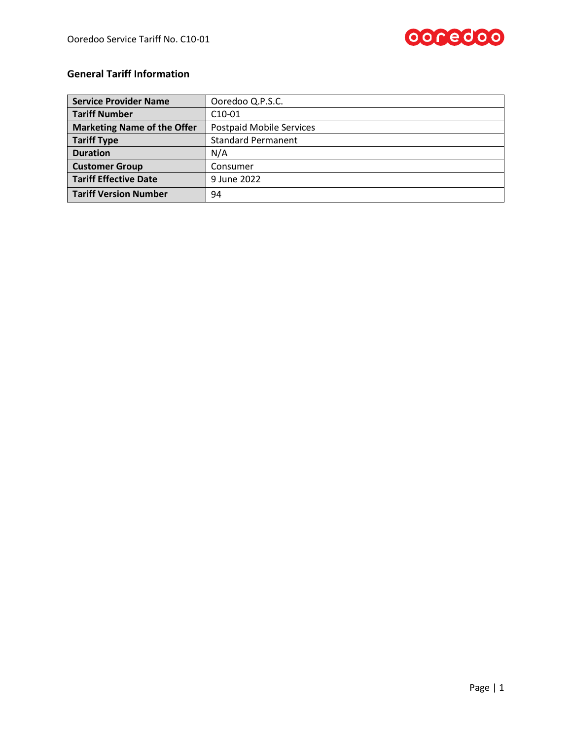

## **General Tariff Information**

| <b>Service Provider Name</b>       | Ooredoo Q.P.S.C.                |
|------------------------------------|---------------------------------|
| <b>Tariff Number</b>               | $C10-01$                        |
| <b>Marketing Name of the Offer</b> | <b>Postpaid Mobile Services</b> |
| <b>Tariff Type</b>                 | <b>Standard Permanent</b>       |
| <b>Duration</b>                    | N/A                             |
| <b>Customer Group</b>              | Consumer                        |
| <b>Tariff Effective Date</b>       | 9 June 2022                     |
| <b>Tariff Version Number</b>       | 94                              |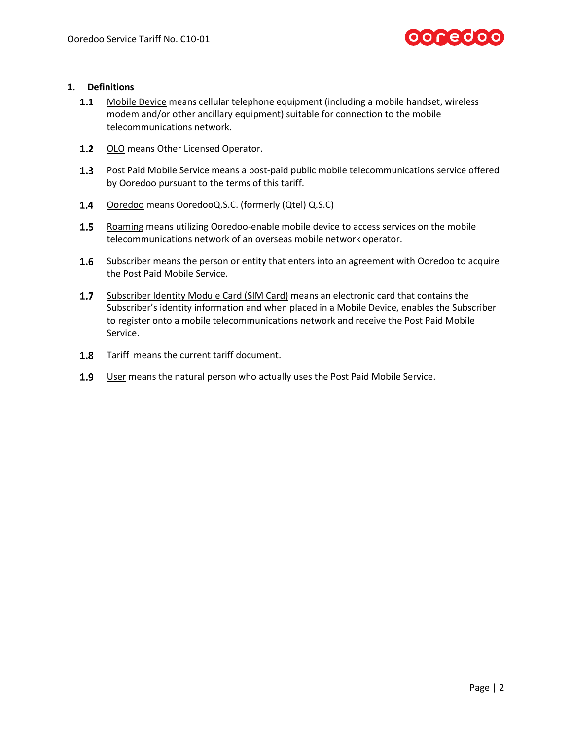

#### **1. Definitions**

- $1.1$ Mobile Device means cellular telephone equipment (including a mobile handset, wireless modem and/or other ancillary equipment) suitable for connection to the mobile telecommunications network.
- 1.2 OLO means Other Licensed Operator.
- 1.3 Post Paid Mobile Service means a post-paid public mobile telecommunications service offered by Ooredoo pursuant to the terms of this tariff.
- $1.4$ Ooredoo means OoredooQ.S.C. (formerly (Qtel) Q.S.C)
- 1.5 Roaming means utilizing Ooredoo-enable mobile device to access services on the mobile telecommunications network of an overseas mobile network operator.
- $1.6\phantom{00}$ Subscriber means the person or entity that enters into an agreement with Ooredoo to acquire the Post Paid Mobile Service.
- $1.7<sub>2</sub>$ Subscriber Identity Module Card (SIM Card) means an electronic card that contains the Subscriber's identity information and when placed in a Mobile Device, enables the Subscriber to register onto a mobile telecommunications network and receive the Post Paid Mobile Service.
- 1.8 Tariff means the current tariff document.
- $1.9$ User means the natural person who actually uses the Post Paid Mobile Service.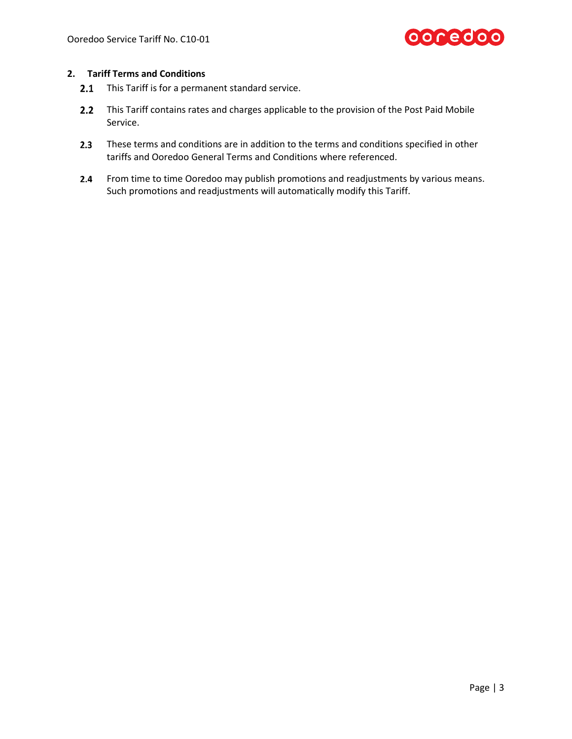

#### **2. Tariff Terms and Conditions**

- $2.1$ This Tariff is for a permanent standard service.
- $2.2$ This Tariff contains rates and charges applicable to the provision of the Post Paid Mobile Service.
- $2.3$ These terms and conditions are in addition to the terms and conditions specified in other tariffs and Ooredoo General Terms and Conditions where referenced.
- From time to time Ooredoo may publish promotions and readjustments by various means.  $2.4$ Such promotions and readjustments will automatically modify this Tariff.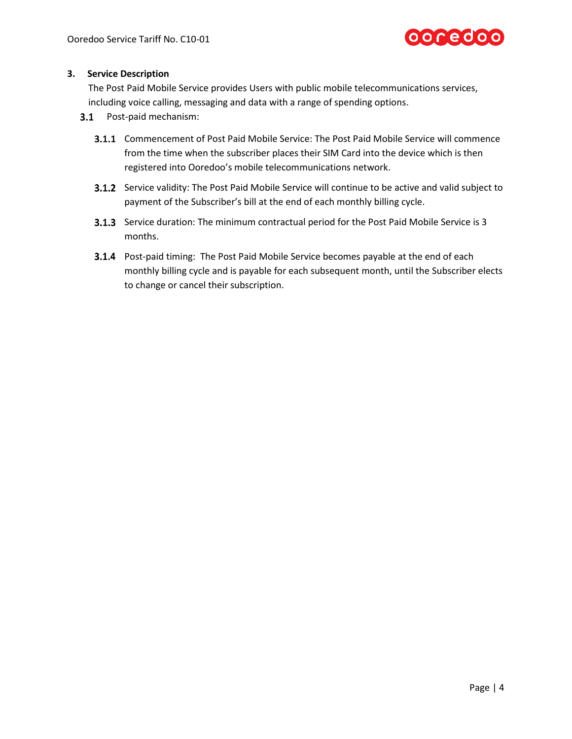

#### **3. Service Description**

The Post Paid Mobile Service provides Users with public mobile telecommunications services, including voice calling, messaging and data with a range of spending options.

- 3.1 Post-paid mechanism:
	- **3.1.1** Commencement of Post Paid Mobile Service: The Post Paid Mobile Service will commence from the time when the subscriber places their SIM Card into the device which is then registered into Ooredoo's mobile telecommunications network.
	- **3.1.2** Service validity: The Post Paid Mobile Service will continue to be active and valid subject to payment of the Subscriber's bill at the end of each monthly billing cycle.
	- **3.1.3** Service duration: The minimum contractual period for the Post Paid Mobile Service is 3 months.
	- **3.1.4** Post-paid timing: The Post Paid Mobile Service becomes payable at the end of each monthly billing cycle and is payable for each subsequent month, until the Subscriber elects to change or cancel their subscription.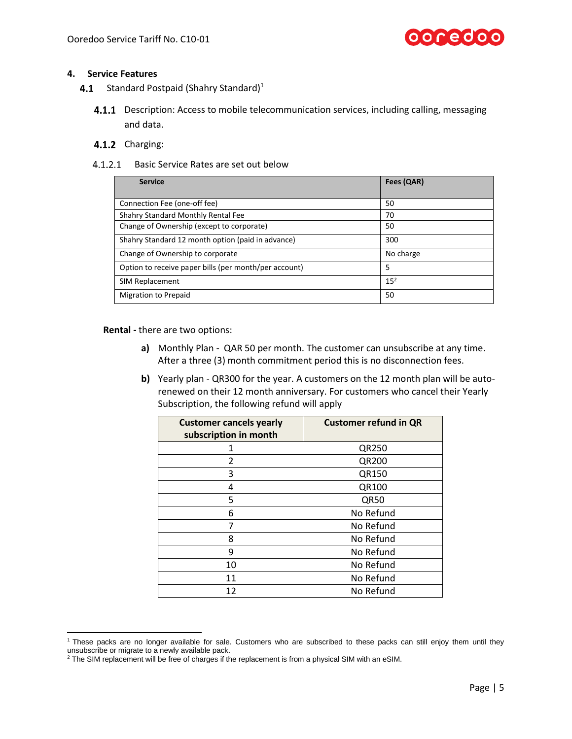

#### **4. Service Features**

- $4.1$ Standard Postpaid (Shahry Standard) $1$ 
	- **4.1.1** Description: Access to mobile telecommunication services, including calling, messaging and data.

#### 4.1.2 Charging:

4.1.2.1 Basic Service Rates are set out below

| <b>Service</b>                                        | Fees (QAR)      |
|-------------------------------------------------------|-----------------|
| Connection Fee (one-off fee)                          | 50              |
| Shahry Standard Monthly Rental Fee                    | 70              |
| Change of Ownership (except to corporate)             | 50              |
| Shahry Standard 12 month option (paid in advance)     | 300             |
| Change of Ownership to corporate                      | No charge       |
| Option to receive paper bills (per month/per account) | 5               |
| SIM Replacement                                       | 15 <sup>2</sup> |
| <b>Migration to Prepaid</b>                           | 50              |

**Rental -** there are two options:

- **a)** Monthly Plan QAR 50 per month. The customer can unsubscribe at any time. After a three (3) month commitment period this is no disconnection fees.
- **b)** Yearly plan QR300 for the year. A customers on the 12 month plan will be autorenewed on their 12 month anniversary. For customers who cancel their Yearly Subscription, the following refund will apply

| <b>Customer cancels yearly</b><br>subscription in month | <b>Customer refund in QR</b> |
|---------------------------------------------------------|------------------------------|
|                                                         | QR250                        |
| $\mathfrak z$                                           | QR200                        |
| 3                                                       | QR150                        |
| 4                                                       | QR100                        |
| 5                                                       | QR50                         |
| 6                                                       | No Refund                    |
| 7                                                       | No Refund                    |
| 8                                                       | No Refund                    |
| 9                                                       | No Refund                    |
| 10                                                      | No Refund                    |
| 11                                                      | No Refund                    |
| 12                                                      | No Refund                    |

l <sup>1</sup> These packs are no longer available for sale. Customers who are subscribed to these packs can still enjoy them until they unsubscribe or migrate to a newly available pack.

<sup>&</sup>lt;sup>2</sup> The SIM replacement will be free of charges if the replacement is from a physical SIM with an eSIM.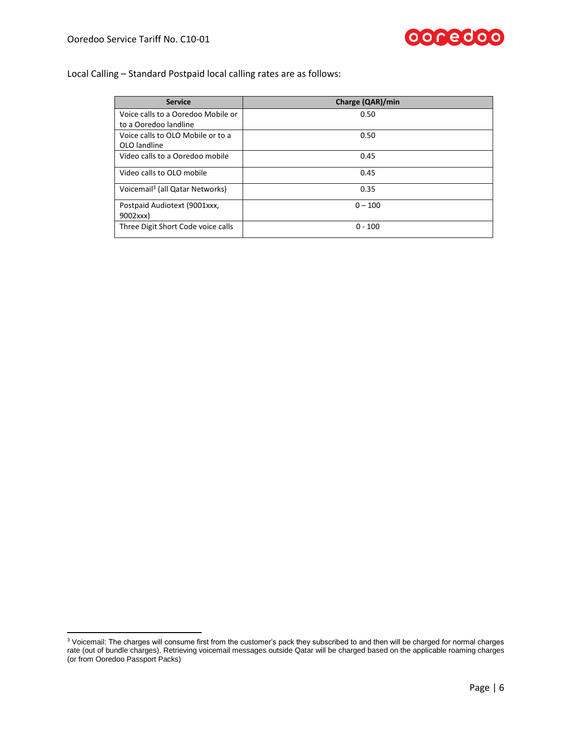l



### Local Calling – Standard Postpaid local calling rates are as follows:

| <b>Service</b>                              | Charge (QAR)/min |
|---------------------------------------------|------------------|
| Voice calls to a Ooredoo Mobile or          | 0.50             |
| to a Ooredoo landline                       |                  |
| Voice calls to OLO Mobile or to a           | 0.50             |
| OLO landline                                |                  |
| Video calls to a Ooredoo mobile             | 0.45             |
|                                             |                  |
| Video calls to OLO mobile                   | 0.45             |
| Voicemail <sup>3</sup> (all Qatar Networks) | 0.35             |
|                                             |                  |
| Postpaid Audiotext (9001xxx,                | $0 - 100$        |
| 9002xxx)                                    |                  |
| Three Digit Short Code voice calls          | $0 - 100$        |

 $^3$  Voicemail: The charges will consume first from the customer's pack they subscribed to and then will be charged for normal charges rate (out of bundle charges). Retrieving voicemail messages outside Qatar will be charged based on the applicable roaming charges (or from Ooredoo Passport Packs)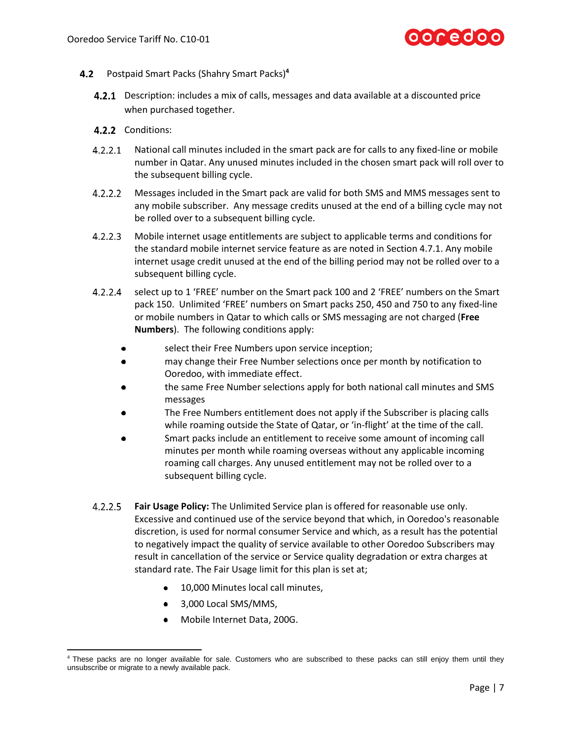

- <span id="page-6-1"></span>Postpaid Smart Packs (Shahry Smart Packs)**<sup>4</sup>**
	- **4.2.1** Description: includes a mix of calls, messages and data available at a discounted price when purchased together.
	- 4.2.2 Conditions:
	- $4.2.2.1$ National call minutes included in the smart pack are for calls to any fixed-line or mobile number in Qatar. Any unused minutes included in the chosen smart pack will roll over to the subsequent billing cycle.
	- $4.2.2.2$ Messages included in the Smart pack are valid for both SMS and MMS messages sent to any mobile subscriber. Any message credits unused at the end of a billing cycle may not be rolled over to a subsequent billing cycle.
	- $4.2.2.3$ Mobile internet usage entitlements are subject to applicable terms and conditions for the standard mobile internet service feature as are noted in Section [4.7.1.](#page-25-0) Any mobile internet usage credit unused at the end of the billing period may not be rolled over to a subsequent billing cycle.
	- $4.2.2.4$ select up to 1 'FREE' number on the Smart pack 100 and 2 'FREE' numbers on the Smart pack 150. Unlimited 'FREE' numbers on Smart packs 250, 450 and 750 to any fixed-line or mobile numbers in Qatar to which calls or SMS messaging are not charged (**Free Numbers**). The following conditions apply:
		- select their Free Numbers upon service inception;
		- may change their Free Number selections once per month by notification to  $\bullet$ Ooredoo, with immediate effect.
		- the same Free Number selections apply for both national call minutes and SMS messages
		- The Free Numbers entitlement does not apply if the Subscriber is placing calls while roaming outside the State of Qatar, or 'in-flight' at the time of the call.
		- Smart packs include an entitlement to receive some amount of incoming call minutes per month while roaming overseas without any applicable incoming roaming call charges. Any unused entitlement may not be rolled over to a subsequent billing cycle.
	- $4.2.2.5$ **Fair Usage Policy:** The Unlimited Service plan is offered for reasonable use only. Excessive and continued use of the service beyond that which, in Ooredoo's reasonable discretion, is used for normal consumer Service and which, as a result has the potential to negatively impact the quality of service available to other Ooredoo Subscribers may result in cancellation of the service or Service quality degradation or extra charges at standard rate. The Fair Usage limit for this plan is set at;
		- 10,000 Minutes local call minutes,  $\bullet$
		- 3,000 Local SMS/MMS,

<span id="page-6-0"></span> $\overline{\phantom{a}}$ 

Mobile Internet Data, 200G.

<sup>&</sup>lt;sup>4</sup> These packs are no longer available for sale. Customers who are subscribed to these packs can still enjoy them until they unsubscribe or migrate to a newly available pack.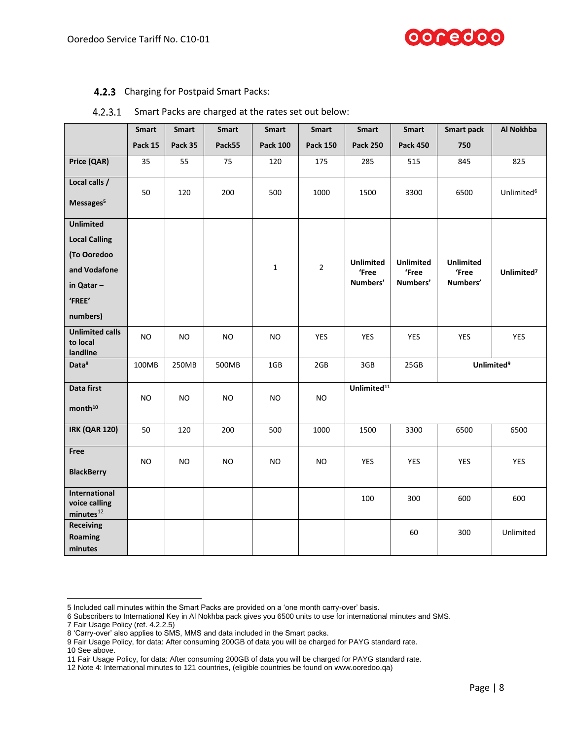#### 4.2.3 Charging for Postpaid Smart Packs:

|                                                         | <b>Smart</b> | Smart          | <b>Smart</b> | Smart           | <b>Smart</b>    | <b>Smart</b>            | Smart            | <b>Smart pack</b> | Al Nokhba              |
|---------------------------------------------------------|--------------|----------------|--------------|-----------------|-----------------|-------------------------|------------------|-------------------|------------------------|
|                                                         | Pack 15      | Pack 35        | Pack55       | <b>Pack 100</b> | <b>Pack 150</b> | <b>Pack 250</b>         | <b>Pack 450</b>  | 750               |                        |
| Price (QAR)                                             | 35           | 55             | 75           | 120             | 175             | 285                     | 515              | 845               | 825                    |
| Local calls /                                           | 50           | 120            | 200          | 500             | 1000            | 1500                    | 3300             | 6500              | Unlimited <sup>6</sup> |
| Messages <sup>5</sup>                                   |              |                |              |                 |                 |                         |                  |                   |                        |
| <b>Unlimited</b>                                        |              |                |              |                 |                 |                         |                  |                   |                        |
| <b>Local Calling</b>                                    |              |                |              |                 |                 |                         |                  |                   |                        |
| (To Ooredoo                                             |              |                |              |                 |                 | <b>Unlimited</b>        | <b>Unlimited</b> | <b>Unlimited</b>  |                        |
| and Vodafone                                            |              |                |              | $\mathbf{1}$    | $\overline{2}$  | 'Free                   | 'Free            | 'Free             | Unlimited <sup>7</sup> |
| in Qatar-                                               |              |                |              |                 |                 | Numbers'                | Numbers'         | Numbers'          |                        |
| 'FREE'                                                  |              |                |              |                 |                 |                         |                  |                   |                        |
| numbers)                                                |              |                |              |                 |                 |                         |                  |                   |                        |
| <b>Unlimited calls</b><br>to local<br>landline          | <b>NO</b>    | <b>NO</b>      | <b>NO</b>    | <b>NO</b>       | <b>YES</b>      | YES                     | YES              | YES               | YES                    |
| Data <sup>8</sup>                                       | 100MB        | 250MB          | 500MB        | 1GB             | 2GB             | 3GB                     | 25GB             |                   | Unlimited <sup>9</sup> |
| Data first<br>month <sup>10</sup>                       | <b>NO</b>    | N <sub>O</sub> | NO.          | NO.             | NO.             | Unlimited <sup>11</sup> |                  |                   |                        |
| <b>IRK (QAR 120)</b>                                    | 50           | 120            | 200          | 500             | 1000            | 1500                    | 3300             | 6500              | 6500                   |
| Free<br><b>BlackBerry</b>                               | <b>NO</b>    | <b>NO</b>      | NO.          | N <sub>O</sub>  | <b>NO</b>       | <b>YES</b>              | <b>YES</b>       | <b>YES</b>        | <b>YES</b>             |
| International<br>voice calling<br>minutes <sup>12</sup> |              |                |              |                 |                 | 100                     | 300              | 600               | 600                    |
| <b>Receiving</b><br>Roaming<br>minutes                  |              |                |              |                 |                 |                         | 60               | 300               | Unlimited              |

#### $4.2.3.1$ Smart Packs are charged at the rates set out below:

6 Subscribers to International Key in Al Nokhba pack gives you 6500 units to use for international minutes and SMS.

7 Fair Usage Policy (ref. [4.2.2.5\)](#page-6-0)

 $\overline{\phantom{a}}$ 

ooredoo

<sup>5</sup> Included call minutes within the Smart Packs are provided on a 'one month carry-over' basis.

<sup>8</sup> 'Carry-over' also applies to SMS, MMS and data included in the Smart packs.

<sup>9</sup> Fair Usage Policy, for data: After consuming 200GB of data you will be charged for PAYG standard rate.

<sup>10</sup> See above.

<sup>11</sup> Fair Usage Policy, for data: After consuming 200GB of data you will be charged for PAYG standard rate.

<sup>12</sup> Note 4: International minutes to 121 countries, (eligible countries be found on [www.ooredoo.qa\)](http://www.ooredoo.qa/)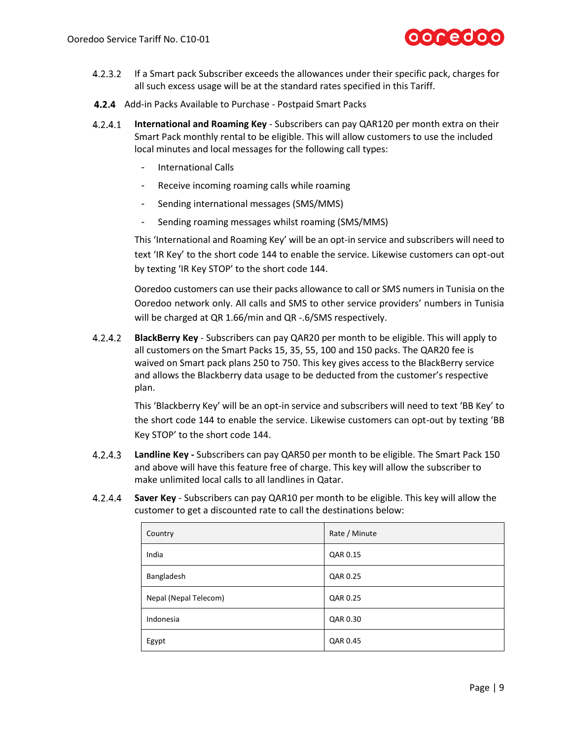

- $4.2.3.2$ If a Smart pack Subscriber exceeds the allowances under their specific pack, charges for all such excess usage will be at the standard rates specified in this Tariff.
- 4.2.4 Add-in Packs Available to Purchase Postpaid Smart Packs
- **International and Roaming Key** Subscribers can pay QAR120 per month extra on their  $4.2.4.1$ Smart Pack monthly rental to be eligible. This will allow customers to use the included local minutes and local messages for the following call types:
	- International Calls
	- Receive incoming roaming calls while roaming
	- Sending international messages (SMS/MMS)
	- Sending roaming messages whilst roaming (SMS/MMS)

This 'International and Roaming Key' will be an opt-in service and subscribers will need to text 'IR Key' to the short code 144 to enable the service. Likewise customers can opt-out by texting 'IR Key STOP' to the short code 144.

Ooredoo customers can use their packs allowance to call or SMS numers in Tunisia on the Ooredoo network only. All calls and SMS to other service providers' numbers in Tunisia will be charged at QR 1.66/min and QR -.6/SMS respectively.

 $4.2.4.2$ **BlackBerry Key** - Subscribers can pay QAR20 per month to be eligible. This will apply to all customers on the Smart Packs 15, 35, 55, 100 and 150 packs. The QAR20 fee is waived on Smart pack plans 250 to 750. This key gives access to the BlackBerry service and allows the Blackberry data usage to be deducted from the customer's respective plan.

> This 'Blackberry Key' will be an opt-in service and subscribers will need to text 'BB Key' to the short code 144 to enable the service. Likewise customers can opt-out by texting 'BB Key STOP' to the short code 144.

- **Landline Key -** Subscribers can pay QAR50 per month to be eligible. The Smart Pack 150  $4.2.4.3$ and above will have this feature free of charge. This key will allow the subscriber to make unlimited local calls to all landlines in Qatar.
- $4.2.4.4$ **Saver Key** - Subscribers can pay QAR10 per month to be eligible. This key will allow the customer to get a discounted rate to call the destinations below:

| Country               | Rate / Minute |
|-----------------------|---------------|
| India                 | QAR 0.15      |
| Bangladesh            | QAR 0.25      |
| Nepal (Nepal Telecom) | QAR 0.25      |
| Indonesia             | QAR 0.30      |
| Egypt                 | QAR 0.45      |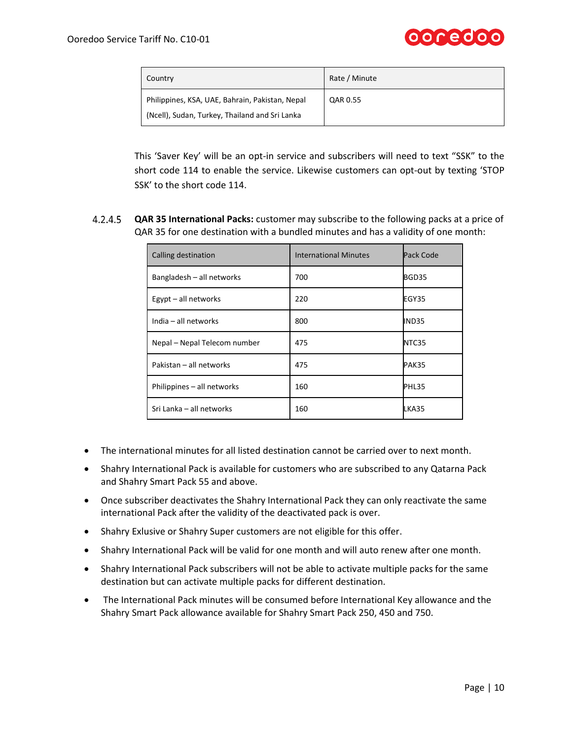

| Country                                                                                           | Rate / Minute |
|---------------------------------------------------------------------------------------------------|---------------|
| Philippines, KSA, UAE, Bahrain, Pakistan, Nepal<br>(Ncell), Sudan, Turkey, Thailand and Sri Lanka | QAR 0.55      |

This 'Saver Key' will be an opt-in service and subscribers will need to text "SSK" to the short code 114 to enable the service. Likewise customers can opt-out by texting 'STOP SSK' to the short code 114.

**QAR 35 International Packs:** customer may subscribe to the following packs at a price of QAR 35 for one destination with a bundled minutes and has a validity of one month:

| Calling destination          | <b>International Minutes</b> | Pack Code |
|------------------------------|------------------------------|-----------|
| Bangladesh - all networks    | 700                          | BGD35     |
| Egypt - all networks         | 220                          | EGY35     |
| India - all networks         | 800                          | IND35     |
| Nepal – Nepal Telecom number | 475                          | NTC35     |
| Pakistan - all networks      | 475                          | PAK35     |
| Philippines - all networks   | 160                          | PHL35     |
| Sri Lanka - all networks     | 160                          | LKA35     |

- The international minutes for all listed destination cannot be carried over to next month.
- Shahry International Pack is available for customers who are subscribed to any Qatarna Pack and Shahry Smart Pack 55 and above.
- Once subscriber deactivates the Shahry International Pack they can only reactivate the same international Pack after the validity of the deactivated pack is over.
- Shahry Exlusive or Shahry Super customers are not eligible for this offer.
- Shahry International Pack will be valid for one month and will auto renew after one month.
- Shahry International Pack subscribers will not be able to activate multiple packs for the same destination but can activate multiple packs for different destination.
- The International Pack minutes will be consumed before International Key allowance and the Shahry Smart Pack allowance available for Shahry Smart Pack 250, 450 and 750.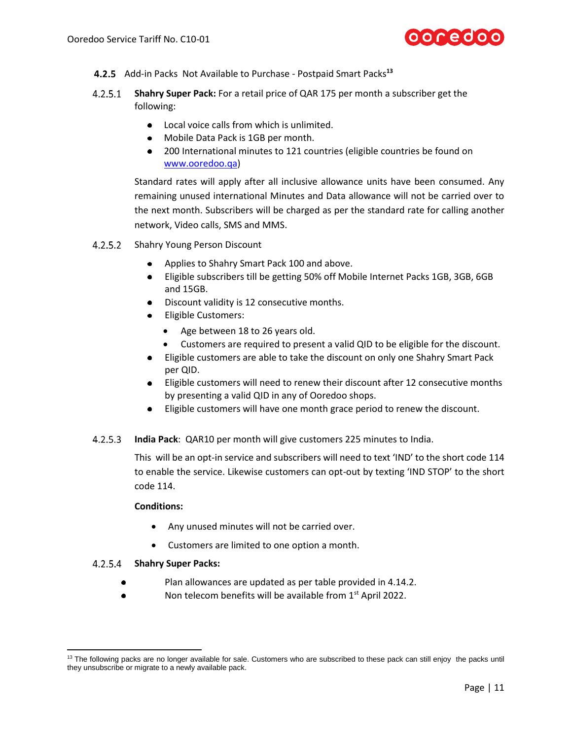

- Add-in Packs Not Available to Purchase Postpaid Smart Packs**<sup>13</sup>**
- $4.2.5.1$ **Shahry Super Pack:** For a retail price of QAR 175 per month a subscriber get the following:
	- Local voice calls from which is unlimited.
	- Mobile Data Pack is 1GB per month.
	- 200 International minutes to 121 countries (eligible countries be found on [www.ooredoo.qa\)](http://www.ooredoo.qa/)

Standard rates will apply after all inclusive allowance units have been consumed. Any remaining unused international Minutes and Data allowance will not be carried over to the next month. Subscribers will be charged as per the standard rate for calling another network, Video calls, SMS and MMS.

- 4.2.5.2 Shahry Young Person Discount
	- Applies to Shahry Smart Pack 100 and above.
	- Eligible subscribers till be getting 50% off Mobile Internet Packs 1GB, 3GB, 6GB and 15GB.
	- Discount validity is 12 consecutive months.
	- Eligible Customers:
		- Age between 18 to 26 years old.
		- Customers are required to present a valid QID to be eligible for the discount.
	- Eligible customers are able to take the discount on only one Shahry Smart Pack per QID.
	- Eligible customers will need to renew their discount after 12 consecutive months by presenting a valid QID in any of Ooredoo shops.
	- $\bullet$ Eligible customers will have one month grace period to renew the discount.
- **India Pack**: QAR10 per month will give customers 225 minutes to India.  $4.2.5.3$

This will be an opt-in service and subscribers will need to text 'IND' to the short code 114 to enable the service. Likewise customers can opt-out by texting 'IND STOP' to the short code 114.

#### **Conditions:**

- Any unused minutes will not be carried over.
- Customers are limited to one option a month.

#### **Shahry Super Packs:**

- Plan allowances are updated as per table provided in [4.14.2.](#page-36-0)
- Non telecom benefits will be available from 1<sup>st</sup> April 2022.  $\bullet$

<sup>&</sup>lt;sup>13</sup> The following packs are no longer available for sale. Customers who are subscribed to these pack can still enjoy the packs until they unsubscribe or migrate to a newly available pack.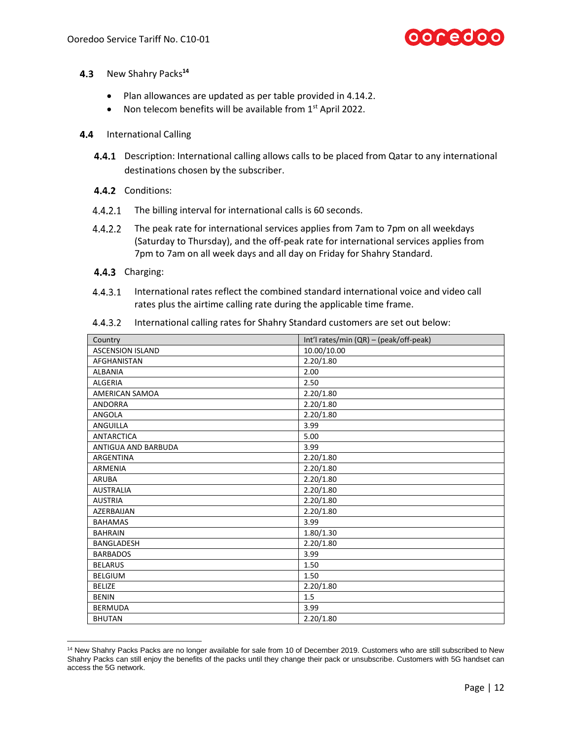

- <span id="page-11-0"></span>4.3 New Shahry Packs<sup>14</sup>
	- Plan allowances are updated as per table provided in [4.14.2.](#page-36-0)
	- Non telecom benefits will be available from 1<sup>st</sup> April 2022.
- 4.4 International Calling
	- **4.4.1** Description: International calling allows calls to be placed from Qatar to any international destinations chosen by the subscriber.
	- 4.4.2 Conditions:
	- 4.4.2.1 The billing interval for international calls is 60 seconds.
	- $4.4.2.2$ The peak rate for international services applies from 7am to 7pm on all weekdays (Saturday to Thursday), and the off-peak rate for international services applies from 7pm to 7am on all week days and all day on Friday for Shahry Standard.
	- 4.4.3 Charging:

 $\overline{a}$ 

 $4.4.3.1$ International rates reflect the combined standard international voice and video call rates plus the airtime calling rate during the applicable time frame.

| Country                 | Int'l rates/min (QR) - (peak/off-peak) |
|-------------------------|----------------------------------------|
| <b>ASCENSION ISLAND</b> | 10.00/10.00                            |
| <b>AFGHANISTAN</b>      | 2.20/1.80                              |
| ALBANIA                 | 2.00                                   |
| <b>ALGERIA</b>          | 2.50                                   |
| AMERICAN SAMOA          | 2.20/1.80                              |
| <b>ANDORRA</b>          | 2.20/1.80                              |
| ANGOLA                  | 2.20/1.80                              |
| <b>ANGUILLA</b>         | 3.99                                   |
| <b>ANTARCTICA</b>       | 5.00                                   |
| ANTIGUA AND BARBUDA     | 3.99                                   |
| ARGENTINA               | 2.20/1.80                              |
| <b>ARMENIA</b>          | 2.20/1.80                              |
| <b>ARUBA</b>            | 2.20/1.80                              |
| <b>AUSTRALIA</b>        | 2.20/1.80                              |
| <b>AUSTRIA</b>          | 2.20/1.80                              |
| AZERBAIJAN              | 2.20/1.80                              |
| <b>BAHAMAS</b>          | 3.99                                   |
| <b>BAHRAIN</b>          | 1.80/1.30                              |
| <b>BANGLADESH</b>       | 2.20/1.80                              |
| <b>BARBADOS</b>         | 3.99                                   |
| <b>BELARUS</b>          | 1.50                                   |
| <b>BELGIUM</b>          | 1.50                                   |
| <b>BELIZE</b>           | 2.20/1.80                              |
| <b>BENIN</b>            | 1.5                                    |
| <b>BERMUDA</b>          | 3.99                                   |
| <b>BHUTAN</b>           | 2.20/1.80                              |

 $4.4.3.2$ International calling rates for Shahry Standard customers are set out below:

<sup>&</sup>lt;sup>14</sup> New Shahry Packs Packs are no longer available for sale from 10 of December 2019. Customers who are still subscribed to New Shahry Packs can still enjoy the benefits of the packs until they change their pack or unsubscribe. Customers with 5G handset can access the 5G network.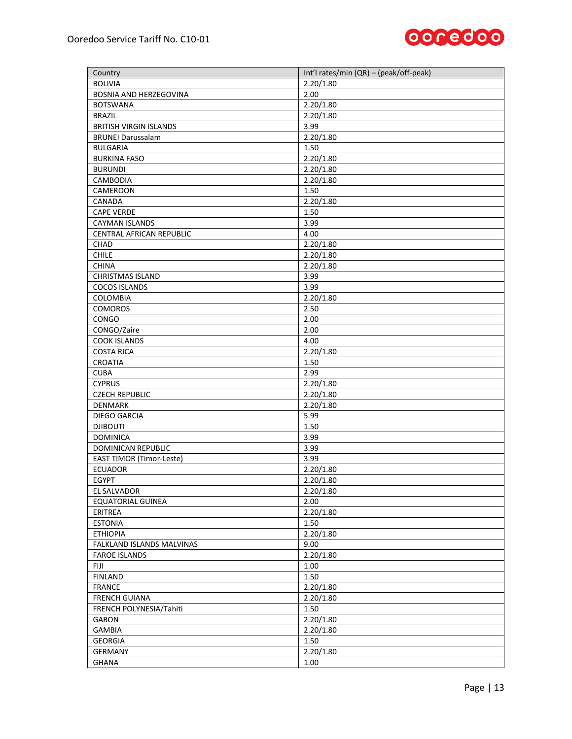

| Country                            | Int'l rates/min (QR) - (peak/off-peak) |
|------------------------------------|----------------------------------------|
| <b>BOLIVIA</b>                     | 2.20/1.80                              |
| <b>BOSNIA AND HERZEGOVINA</b>      | 2.00                                   |
| <b>BOTSWANA</b>                    | 2.20/1.80                              |
| <b>BRAZIL</b>                      | 2.20/1.80                              |
| <b>BRITISH VIRGIN ISLANDS</b>      | 3.99                                   |
| <b>BRUNEI Darussalam</b>           | 2.20/1.80                              |
| <b>BULGARIA</b>                    | 1.50                                   |
| <b>BURKINA FASO</b>                | 2.20/1.80                              |
| <b>BURUNDI</b>                     | 2.20/1.80                              |
| CAMBODIA                           | 2.20/1.80                              |
| CAMEROON                           | 1.50                                   |
| CANADA                             | 2.20/1.80                              |
| <b>CAPE VERDE</b>                  | 1.50                                   |
| <b>CAYMAN ISLANDS</b>              | 3.99                                   |
| CENTRAL AFRICAN REPUBLIC           | 4.00                                   |
| <b>CHAD</b>                        | 2.20/1.80                              |
| <b>CHILE</b>                       | 2.20/1.80                              |
| <b>CHINA</b>                       | 2.20/1.80                              |
| <b>CHRISTMAS ISLAND</b>            | 3.99                                   |
| <b>COCOS ISLANDS</b>               | 3.99                                   |
|                                    | 2.20/1.80                              |
| <b>COLOMBIA</b>                    |                                        |
| <b>COMOROS</b>                     | 2.50                                   |
| CONGO                              | 2.00<br>2.00                           |
| CONGO/Zaire<br><b>COOK ISLANDS</b> | 4.00                                   |
|                                    |                                        |
| <b>COSTA RICA</b><br>CROATIA       | 2.20/1.80<br>1.50                      |
| <b>CUBA</b>                        | 2.99                                   |
| <b>CYPRUS</b>                      | 2.20/1.80                              |
| <b>CZECH REPUBLIC</b>              | 2.20/1.80                              |
| <b>DENMARK</b>                     | 2.20/1.80                              |
| DIEGO GARCIA                       | 5.99                                   |
| <b>DJIBOUTI</b>                    | 1.50                                   |
| <b>DOMINICA</b>                    | 3.99                                   |
| DOMINICAN REPUBLIC                 | 3.99                                   |
| <b>EAST TIMOR (Timor-Leste)</b>    | 3.99                                   |
| <b>ECUADOR</b>                     | 2.20/1.80                              |
| <b>EGYPT</b>                       | 2.20/1.80                              |
| EL SALVADOR                        |                                        |
|                                    | 2.20/1.80<br>2.00                      |
| <b>EQUATORIAL GUINEA</b>           |                                        |
| ERITREA                            | 2.20/1.80                              |
| <b>ESTONIA</b>                     | 1.50                                   |
| <b>ETHIOPIA</b>                    | 2.20/1.80                              |
| FALKLAND ISLANDS MALVINAS          | 9.00                                   |
| <b>FAROE ISLANDS</b>               | 2.20/1.80                              |
| FIJI                               | 1.00                                   |
| <b>FINLAND</b>                     | 1.50                                   |
| <b>FRANCE</b>                      | 2.20/1.80                              |
| <b>FRENCH GUIANA</b>               | 2.20/1.80                              |
| FRENCH POLYNESIA/Tahiti            | 1.50                                   |
| <b>GABON</b>                       | 2.20/1.80                              |
| <b>GAMBIA</b>                      | 2.20/1.80                              |
| <b>GEORGIA</b>                     | 1.50                                   |
| <b>GERMANY</b>                     | 2.20/1.80                              |
| <b>GHANA</b>                       | 1.00                                   |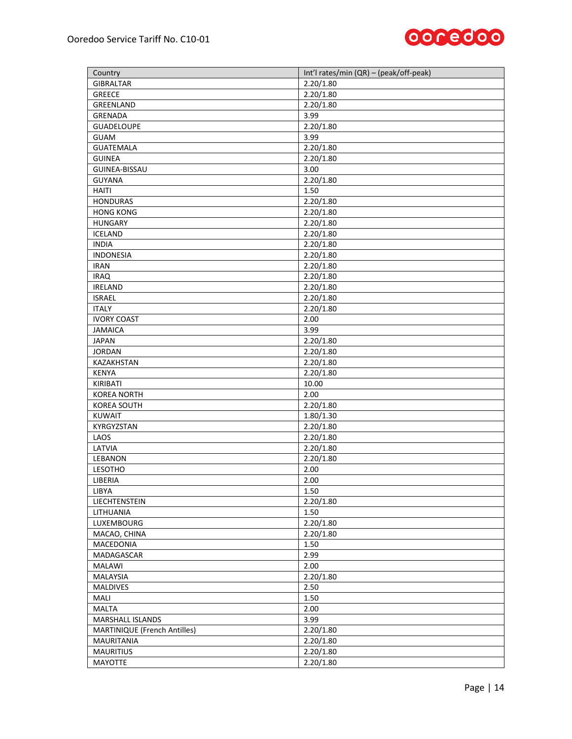

| Country                             | Int'l rates/min (QR) - (peak/off-peak) |
|-------------------------------------|----------------------------------------|
| <b>GIBRALTAR</b>                    | 2.20/1.80                              |
| GREECE                              | 2.20/1.80                              |
| GREENLAND                           | 2.20/1.80                              |
| <b>GRENADA</b>                      | 3.99                                   |
| <b>GUADELOUPE</b>                   | 2.20/1.80                              |
| GUAM                                | 3.99                                   |
| <b>GUATEMALA</b>                    | 2.20/1.80                              |
| <b>GUINEA</b>                       | 2.20/1.80                              |
| GUINEA-BISSAU                       | 3.00                                   |
| <b>GUYANA</b>                       | 2.20/1.80                              |
| <b>HAITI</b>                        | 1.50                                   |
| <b>HONDURAS</b>                     | 2.20/1.80                              |
| <b>HONG KONG</b>                    | 2.20/1.80                              |
| <b>HUNGARY</b>                      | 2.20/1.80                              |
| <b>ICELAND</b>                      | 2.20/1.80                              |
| <b>INDIA</b>                        | 2.20/1.80                              |
| <b>INDONESIA</b>                    | 2.20/1.80                              |
| <b>IRAN</b>                         | 2.20/1.80                              |
| <b>IRAQ</b>                         | 2.20/1.80                              |
| <b>IRELAND</b>                      | 2.20/1.80                              |
| <b>ISRAEL</b>                       | 2.20/1.80                              |
| <b>ITALY</b>                        | 2.20/1.80                              |
| <b>IVORY COAST</b>                  | 2.00                                   |
| <b>JAMAICA</b>                      | 3.99                                   |
| <b>JAPAN</b>                        | 2.20/1.80                              |
| <b>JORDAN</b>                       | 2.20/1.80                              |
| KAZAKHSTAN                          | 2.20/1.80                              |
| <b>KENYA</b>                        | 2.20/1.80                              |
| KIRIBATI                            | 10.00                                  |
| <b>KOREA NORTH</b>                  | 2.00                                   |
| <b>KOREA SOUTH</b>                  | 2.20/1.80                              |
| KUWAIT                              | 1.80/1.30                              |
| KYRGYZSTAN                          | 2.20/1.80                              |
| LAOS                                | 2.20/1.80                              |
| LATVIA                              | 2.20/1.80                              |
| LEBANON                             | 2.20/1.80                              |
| LESOTHO                             | 2.00                                   |
| LIBERIA                             | 2.00                                   |
| LIBYA                               | 1.50                                   |
| LIECHTENSTEIN                       | 2.20/1.80                              |
| LITHUANIA                           | 1.50                                   |
| LUXEMBOURG                          | 2.20/1.80                              |
|                                     |                                        |
| MACAO, CHINA<br>MACEDONIA           | 2.20/1.80<br>1.50                      |
|                                     |                                        |
| MADAGASCAR                          | 2.99                                   |
| MALAWI                              | 2.00                                   |
| MALAYSIA                            | 2.20/1.80                              |
| <b>MALDIVES</b>                     | 2.50                                   |
| MALI                                | 1.50                                   |
| MALTA                               | 2.00                                   |
| MARSHALL ISLANDS                    | 3.99                                   |
| <b>MARTINIQUE (French Antilles)</b> | 2.20/1.80                              |
| MAURITANIA                          | 2.20/1.80                              |
| <b>MAURITIUS</b>                    | 2.20/1.80                              |
| MAYOTTE                             | 2.20/1.80                              |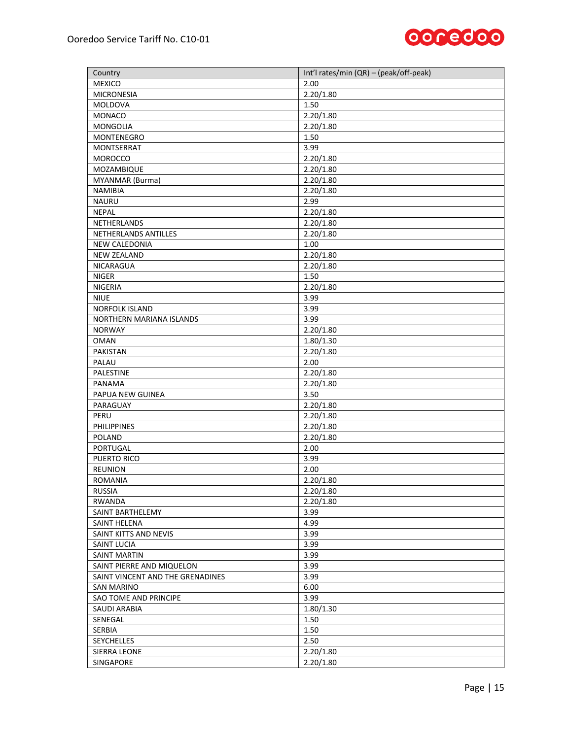

| Country                                        | Int'l rates/min (QR) - (peak/off-peak) |
|------------------------------------------------|----------------------------------------|
| <b>MEXICO</b>                                  | 2.00                                   |
| <b>MICRONESIA</b>                              | 2.20/1.80                              |
| MOLDOVA                                        | 1.50                                   |
| MONACO                                         | 2.20/1.80                              |
| MONGOLIA                                       | 2.20/1.80                              |
| <b>MONTENEGRO</b>                              | 1.50                                   |
| MONTSERRAT                                     | 3.99                                   |
| <b>MOROCCO</b>                                 | 2.20/1.80                              |
| MOZAMBIQUE                                     | 2.20/1.80                              |
| MYANMAR (Burma)                                | 2.20/1.80                              |
| <b>NAMIBIA</b>                                 | 2.20/1.80                              |
| <b>NAURU</b>                                   | 2.99                                   |
| <b>NEPAL</b>                                   | 2.20/1.80                              |
| NETHERLANDS                                    | 2.20/1.80                              |
| NETHERLANDS ANTILLES                           | 2.20/1.80                              |
| NEW CALEDONIA                                  | 1.00                                   |
| <b>NEW ZEALAND</b>                             | 2.20/1.80                              |
| <b>NICARAGUA</b>                               | 2.20/1.80                              |
| NIGER                                          | 1.50                                   |
| NIGERIA                                        | 2.20/1.80                              |
| <b>NIUE</b>                                    | 3.99                                   |
| <b>NORFOLK ISLAND</b>                          | 3.99                                   |
| NORTHERN MARIANA ISLANDS                       | 3.99                                   |
| <b>NORWAY</b>                                  | 2.20/1.80                              |
| <b>OMAN</b>                                    | 1.80/1.30                              |
| PAKISTAN                                       | 2.20/1.80                              |
| PALAU                                          | 2.00                                   |
| PALESTINE                                      | 2.20/1.80                              |
| PANAMA                                         | 2.20/1.80                              |
| PAPUA NEW GUINEA                               | 3.50                                   |
| PARAGUAY                                       | 2.20/1.80                              |
| PERU                                           | 2.20/1.80                              |
| <b>PHILIPPINES</b>                             | 2.20/1.80                              |
| <b>POLAND</b>                                  | 2.20/1.80                              |
| PORTUGAL                                       | 2.00                                   |
| PUERTO RICO                                    | 3.99                                   |
| REUNION                                        | 2.00                                   |
| <b>ROMANIA</b>                                 | 2.20/1.80                              |
| <b>RUSSIA</b>                                  | 2.20/1.80                              |
| <b>RWANDA</b>                                  | 2.20/1.80                              |
| SAINT BARTHELEMY                               | 3.99                                   |
| <b>SAINT HELENA</b>                            | 4.99                                   |
| SAINT KITTS AND NEVIS                          | 3.99                                   |
| SAINT LUCIA                                    | 3.99                                   |
| SAINT MARTIN                                   | 3.99                                   |
|                                                | 3.99                                   |
| SAINT PIERRE AND MIQUELON                      |                                        |
| SAINT VINCENT AND THE GRENADINES<br>SAN MARINO | 3.99<br>6.00                           |
|                                                |                                        |
| SAO TOME AND PRINCIPE                          | 3.99<br>1.80/1.30                      |
| SAUDI ARABIA                                   |                                        |
| SENEGAL                                        | 1.50                                   |
| SERBIA                                         | 1.50<br>2.50                           |
| SEYCHELLES                                     |                                        |
| SIERRA LEONE                                   | 2.20/1.80                              |
| SINGAPORE                                      | 2.20/1.80                              |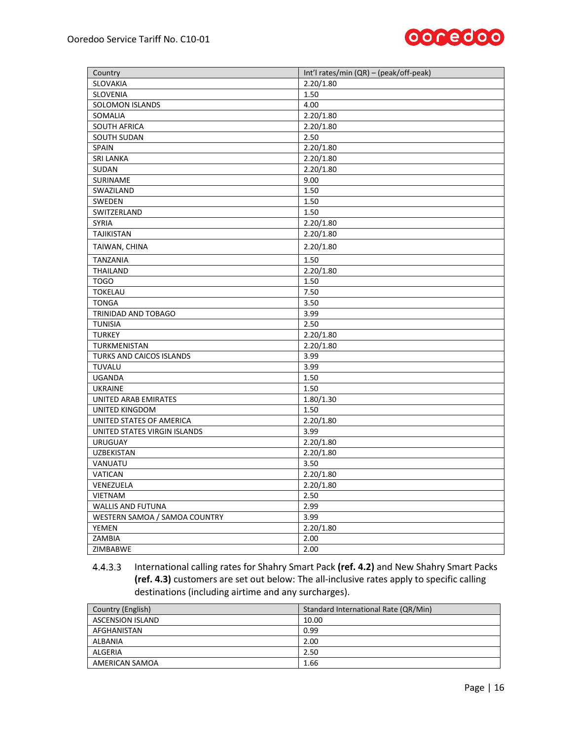

| Country                       | Int'l rates/min (QR) - (peak/off-peak) |  |  |  |
|-------------------------------|----------------------------------------|--|--|--|
| SLOVAKIA                      | 2.20/1.80                              |  |  |  |
| SLOVENIA                      | 1.50                                   |  |  |  |
| SOLOMON ISLANDS               | 4.00                                   |  |  |  |
| SOMALIA                       | 2.20/1.80                              |  |  |  |
| SOUTH AFRICA                  | 2.20/1.80                              |  |  |  |
| SOUTH SUDAN                   | 2.50                                   |  |  |  |
| SPAIN                         | 2.20/1.80                              |  |  |  |
| <b>SRI LANKA</b>              | 2.20/1.80                              |  |  |  |
| SUDAN                         | 2.20/1.80                              |  |  |  |
| SURINAME                      | 9.00                                   |  |  |  |
| SWAZILAND                     | 1.50                                   |  |  |  |
| SWEDEN                        | 1.50                                   |  |  |  |
| SWITZERLAND                   | 1.50                                   |  |  |  |
| <b>SYRIA</b>                  | 2.20/1.80                              |  |  |  |
| <b>TAJIKISTAN</b>             | 2.20/1.80                              |  |  |  |
| TAIWAN, CHINA                 | 2.20/1.80                              |  |  |  |
| <b>TANZANIA</b>               | 1.50                                   |  |  |  |
| THAILAND                      | 2.20/1.80                              |  |  |  |
| <b>TOGO</b>                   | 1.50                                   |  |  |  |
| <b>TOKELAU</b>                | 7.50                                   |  |  |  |
| <b>TONGA</b>                  | 3.50                                   |  |  |  |
| TRINIDAD AND TOBAGO           | 3.99                                   |  |  |  |
| <b>TUNISIA</b>                | 2.50                                   |  |  |  |
| <b>TURKEY</b>                 | 2.20/1.80                              |  |  |  |
| TURKMENISTAN                  | 2.20/1.80                              |  |  |  |
| TURKS AND CAICOS ISLANDS      | 3.99                                   |  |  |  |
| TUVALU                        | 3.99                                   |  |  |  |
| <b>UGANDA</b>                 | 1.50                                   |  |  |  |
| <b>UKRAINE</b>                | 1.50                                   |  |  |  |
| UNITED ARAB EMIRATES          | 1.80/1.30                              |  |  |  |
| UNITED KINGDOM                | 1.50                                   |  |  |  |
| UNITED STATES OF AMERICA      | 2.20/1.80                              |  |  |  |
| UNITED STATES VIRGIN ISLANDS  | 3.99                                   |  |  |  |
| <b>URUGUAY</b>                | 2.20/1.80                              |  |  |  |
| <b>UZBEKISTAN</b>             | 2.20/1.80                              |  |  |  |
| VANUATU                       | 3.50                                   |  |  |  |
| VATICAN                       | 2.20/1.80                              |  |  |  |
| VENEZUELA                     | 2.20/1.80                              |  |  |  |
| VIETNAM                       | 2.50                                   |  |  |  |
| WALLIS AND FUTUNA             | 2.99                                   |  |  |  |
| WESTERN SAMOA / SAMOA COUNTRY | 3.99                                   |  |  |  |
| <b>YEMEN</b>                  | 2.20/1.80                              |  |  |  |
| ZAMBIA                        | 2.00                                   |  |  |  |
| ZIMBABWE                      | 2.00                                   |  |  |  |

<span id="page-15-0"></span> $4.4.3.3$ International calling rates for Shahry Smart Pack **(ref. [4.2\)](#page-6-1)** and New Shahry Smart Packs **(ref. [4.3\)](#page-11-0)** customers are set out below: The all-inclusive rates apply to specific calling destinations (including airtime and any surcharges).

| Country (English)       | Standard International Rate (QR/Min) |
|-------------------------|--------------------------------------|
| <b>ASCENSION ISLAND</b> | 10.00                                |
| AFGHANISTAN             | 0.99                                 |
| ALBANIA                 | 2.00                                 |
| ALGERIA                 | 2.50                                 |
| AMERICAN SAMOA          | 1.66                                 |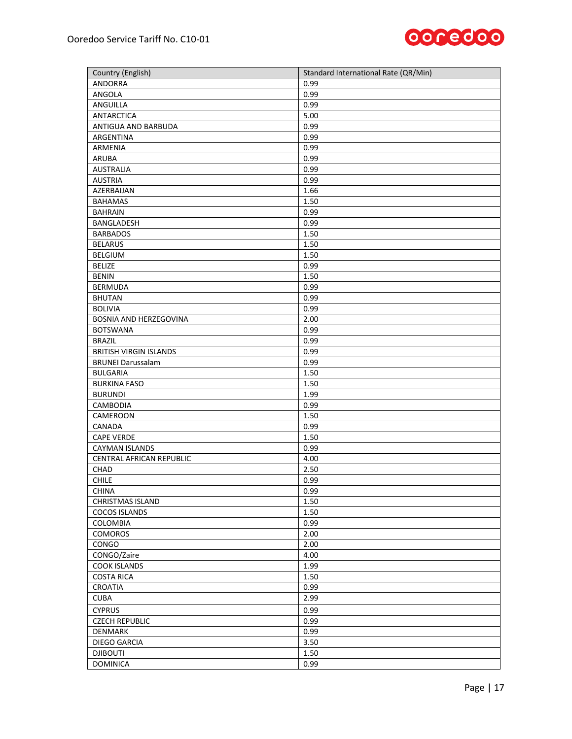

| Country (English)             | Standard International Rate (QR/Min) |
|-------------------------------|--------------------------------------|
| ANDORRA                       | 0.99                                 |
| ANGOLA                        | 0.99                                 |
| ANGUILLA                      | 0.99                                 |
| <b>ANTARCTICA</b>             | 5.00                                 |
| ANTIGUA AND BARBUDA           | 0.99                                 |
| ARGENTINA                     | 0.99                                 |
| ARMENIA                       | 0.99                                 |
| <b>ARUBA</b>                  | 0.99                                 |
| <b>AUSTRALIA</b>              | 0.99                                 |
| <b>AUSTRIA</b>                | 0.99                                 |
| AZERBAIJAN                    | 1.66                                 |
| <b>BAHAMAS</b>                | 1.50                                 |
| <b>BAHRAIN</b>                | 0.99                                 |
| BANGLADESH                    | 0.99                                 |
| <b>BARBADOS</b>               | 1.50                                 |
| <b>BELARUS</b>                | 1.50                                 |
| <b>BELGIUM</b>                | 1.50                                 |
| <b>BELIZE</b>                 | 0.99                                 |
| <b>BENIN</b>                  | 1.50                                 |
| <b>BERMUDA</b>                | 0.99                                 |
| <b>BHUTAN</b>                 | 0.99                                 |
| <b>BOLIVIA</b>                | 0.99                                 |
| BOSNIA AND HERZEGOVINA        | 2.00                                 |
| <b>BOTSWANA</b>               | 0.99                                 |
| <b>BRAZIL</b>                 | 0.99                                 |
| <b>BRITISH VIRGIN ISLANDS</b> | 0.99                                 |
| <b>BRUNEI Darussalam</b>      | 0.99                                 |
| <b>BULGARIA</b>               | 1.50                                 |
| <b>BURKINA FASO</b>           | 1.50                                 |
| <b>BURUNDI</b>                | 1.99                                 |
| CAMBODIA                      | 0.99                                 |
| CAMEROON                      | 1.50                                 |
| CANADA                        | 0.99                                 |
| <b>CAPE VERDE</b>             | 1.50                                 |
| <b>CAYMAN ISLANDS</b>         | 0.99                                 |
| CENTRAL AFRICAN REPUBLIC      | 4.00                                 |
| CHAD                          | 2.50                                 |
| <b>CHILE</b>                  | 0.99                                 |
| <b>CHINA</b>                  | 0.99                                 |
| <b>CHRISTMAS ISLAND</b>       | 1.50                                 |
| <b>COCOS ISLANDS</b>          | 1.50                                 |
| <b>COLOMBIA</b>               | 0.99                                 |
| <b>COMOROS</b>                | 2.00                                 |
| CONGO                         | 2.00                                 |
| CONGO/Zaire                   | 4.00                                 |
| <b>COOK ISLANDS</b>           | 1.99                                 |
| <b>COSTA RICA</b>             | 1.50                                 |
| CROATIA                       | 0.99                                 |
| <b>CUBA</b>                   | 2.99                                 |
| <b>CYPRUS</b>                 | 0.99                                 |
| <b>CZECH REPUBLIC</b>         | 0.99                                 |
| <b>DENMARK</b>                | 0.99                                 |
| DIEGO GARCIA                  | 3.50                                 |
| <b>DJIBOUTI</b>               | 1.50                                 |
| <b>DOMINICA</b>               | 0.99                                 |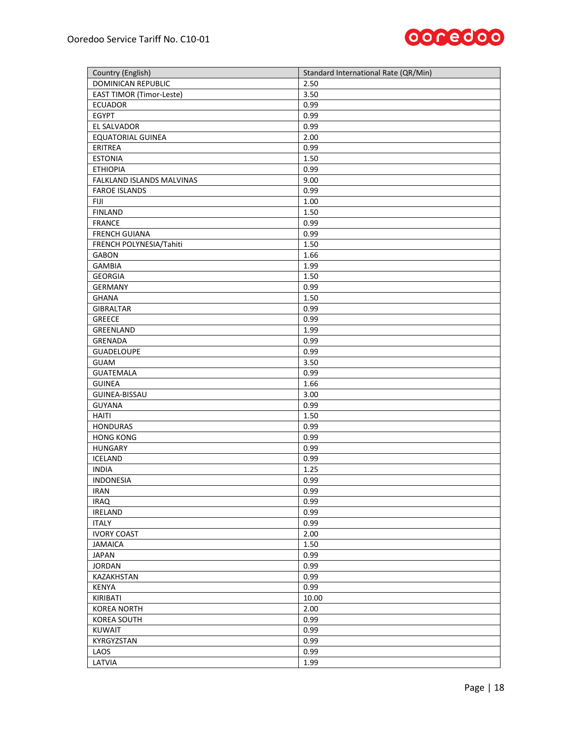

| Country (English)               | Standard International Rate (QR/Min) |
|---------------------------------|--------------------------------------|
| DOMINICAN REPUBLIC              | 2.50                                 |
| <b>EAST TIMOR (Timor-Leste)</b> | 3.50                                 |
| <b>ECUADOR</b>                  | 0.99                                 |
| <b>EGYPT</b>                    | 0.99                                 |
| EL SALVADOR                     | 0.99                                 |
| <b>EQUATORIAL GUINEA</b>        | 2.00                                 |
| ERITREA                         | 0.99                                 |
| <b>ESTONIA</b>                  | 1.50                                 |
| <b>ETHIOPIA</b>                 | 0.99                                 |
| FALKLAND ISLANDS MALVINAS       | 9.00                                 |
| <b>FAROE ISLANDS</b>            | 0.99                                 |
| FIJI                            | 1.00                                 |
| <b>FINLAND</b>                  | 1.50                                 |
| <b>FRANCE</b>                   | 0.99                                 |
| <b>FRENCH GUIANA</b>            | 0.99                                 |
| FRENCH POLYNESIA/Tahiti         | 1.50                                 |
| <b>GABON</b>                    | 1.66                                 |
| <b>GAMBIA</b>                   | 1.99                                 |
| <b>GEORGIA</b>                  | 1.50                                 |
| <b>GERMANY</b>                  | 0.99                                 |
| <b>GHANA</b>                    | 1.50                                 |
| <b>GIBRALTAR</b>                | 0.99                                 |
| <b>GREECE</b>                   | 0.99                                 |
| GREENLAND                       | 1.99                                 |
| <b>GRENADA</b>                  | 0.99                                 |
| <b>GUADELOUPE</b>               | 0.99                                 |
| <b>GUAM</b>                     | 3.50                                 |
| <b>GUATEMALA</b>                | 0.99                                 |
| <b>GUINEA</b>                   | 1.66                                 |
| GUINEA-BISSAU                   | 3.00                                 |
| <b>GUYANA</b>                   | 0.99                                 |
| <b>HAITI</b>                    | 1.50                                 |
| <b>HONDURAS</b>                 | 0.99                                 |
| <b>HONG KONG</b>                | 0.99                                 |
| <b>HUNGARY</b>                  | 0.99                                 |
| <b>ICELAND</b>                  | 0.99                                 |
| <b>INDIA</b>                    | 1.25                                 |
| <b>INDONESIA</b>                | 0.99                                 |
| <b>IRAN</b>                     | 0.99                                 |
| <b>IRAQ</b>                     | 0.99                                 |
|                                 | 0.99                                 |
| IRELAND                         |                                      |
| <b>ITALY</b>                    | 0.99                                 |
| <b>IVORY COAST</b>              | 2.00                                 |
| <b>JAMAICA</b>                  | 1.50                                 |
| <b>JAPAN</b>                    | 0.99                                 |
| <b>JORDAN</b>                   | 0.99                                 |
| KAZAKHSTAN                      | 0.99                                 |
| <b>KENYA</b>                    | 0.99                                 |
| KIRIBATI                        | 10.00                                |
| <b>KOREA NORTH</b>              | 2.00                                 |
| <b>KOREA SOUTH</b>              | 0.99                                 |
| <b>KUWAIT</b>                   | 0.99                                 |
| KYRGYZSTAN                      | 0.99                                 |
| LAOS                            | 0.99                                 |
| LATVIA                          | 1.99                                 |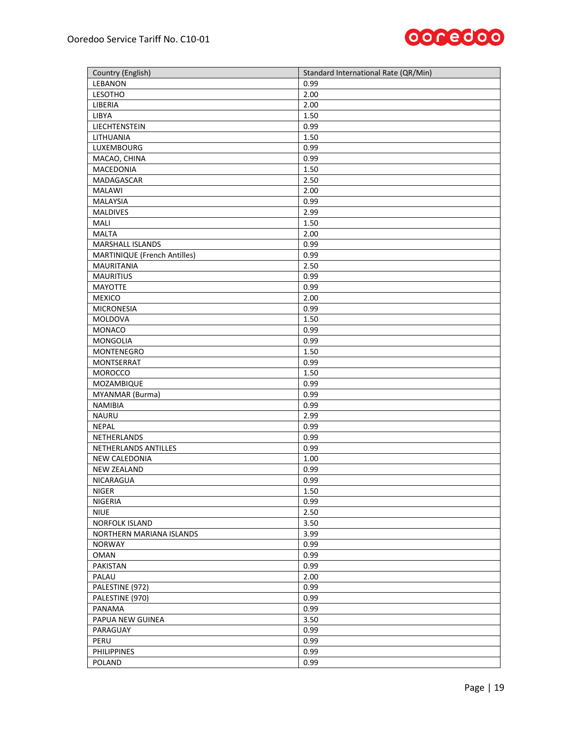

| Country (English)            | Standard International Rate (QR/Min) |
|------------------------------|--------------------------------------|
| LEBANON                      | 0.99                                 |
| LESOTHO                      | 2.00                                 |
| LIBERIA                      | 2.00                                 |
| <b>LIBYA</b>                 | 1.50                                 |
| LIECHTENSTEIN                | 0.99                                 |
| LITHUANIA                    | 1.50                                 |
| LUXEMBOURG                   | 0.99                                 |
| MACAO, CHINA                 | 0.99                                 |
| MACEDONIA                    | 1.50                                 |
| <b>MADAGASCAR</b>            | 2.50                                 |
| <b>MALAWI</b>                | 2.00                                 |
| <b>MALAYSIA</b>              | 0.99                                 |
| MALDIVES                     | 2.99                                 |
| MALI                         | 1.50                                 |
| <b>MALTA</b>                 | 2.00                                 |
| MARSHALL ISLANDS             | 0.99                                 |
| MARTINIQUE (French Antilles) | 0.99                                 |
| <b>MAURITANIA</b>            | 2.50                                 |
| <b>MAURITIUS</b>             | 0.99                                 |
| MAYOTTE                      | 0.99                                 |
| <b>MEXICO</b>                | 2.00                                 |
| <b>MICRONESIA</b>            | 0.99                                 |
| MOLDOVA                      | 1.50                                 |
| MONACO                       | 0.99                                 |
| MONGOLIA                     | 0.99                                 |
| MONTENEGRO                   | 1.50                                 |
| MONTSERRAT                   | 0.99                                 |
| <b>MOROCCO</b>               | 1.50                                 |
| MOZAMBIQUE                   | 0.99                                 |
| MYANMAR (Burma)              | 0.99                                 |
| <b>NAMIBIA</b>               | 0.99                                 |
| <b>NAURU</b>                 | 2.99                                 |
| <b>NEPAL</b>                 | 0.99                                 |
| NETHERLANDS                  | 0.99                                 |
| NETHERLANDS ANTILLES         | 0.99                                 |
| NEW CALEDONIA                | 1.00                                 |
| <b>NEW ZEALAND</b>           | 0.99                                 |
| <b>NICARAGUA</b>             | 0.99                                 |
| <b>NIGER</b>                 | 1.50                                 |
| <b>NIGERIA</b>               | 0.99                                 |
| <b>NIUE</b>                  | 2.50                                 |
| <b>NORFOLK ISLAND</b>        | 3.50                                 |
| NORTHERN MARIANA ISLANDS     | 3.99                                 |
| <b>NORWAY</b>                | 0.99                                 |
| <b>OMAN</b>                  | 0.99                                 |
| PAKISTAN                     | 0.99                                 |
| PALAU                        | 2.00                                 |
| PALESTINE (972)              | 0.99                                 |
| PALESTINE (970)              | 0.99                                 |
| PANAMA                       | 0.99                                 |
| PAPUA NEW GUINEA             | 3.50                                 |
| PARAGUAY                     | 0.99                                 |
| PERU                         | 0.99                                 |
| <b>PHILIPPINES</b>           | 0.99                                 |
| POLAND                       | 0.99                                 |
|                              |                                      |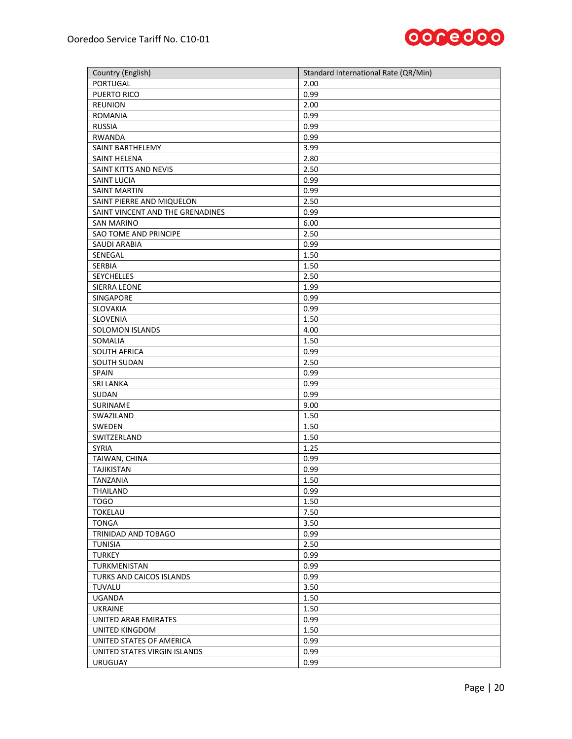

| Country (English)                | Standard International Rate (QR/Min) |
|----------------------------------|--------------------------------------|
| PORTUGAL                         | 2.00                                 |
| PUERTO RICO                      | 0.99                                 |
| <b>REUNION</b>                   | 2.00                                 |
| <b>ROMANIA</b>                   | 0.99                                 |
| <b>RUSSIA</b>                    | 0.99                                 |
| <b>RWANDA</b>                    | 0.99                                 |
| SAINT BARTHELEMY                 | 3.99                                 |
| SAINT HELENA                     | 2.80                                 |
| SAINT KITTS AND NEVIS            | 2.50                                 |
| SAINT LUCIA                      | 0.99                                 |
| <b>SAINT MARTIN</b>              | 0.99                                 |
| SAINT PIERRE AND MIQUELON        | 2.50                                 |
| SAINT VINCENT AND THE GRENADINES | 0.99                                 |
| <b>SAN MARINO</b>                | 6.00                                 |
| SAO TOME AND PRINCIPE            | 2.50                                 |
| <b>SAUDI ARABIA</b>              | 0.99                                 |
| SENEGAL                          | 1.50                                 |
| SERBIA                           | 1.50                                 |
| SEYCHELLES                       | 2.50                                 |
| SIERRA LEONE                     | 1.99                                 |
| <b>SINGAPORE</b>                 | 0.99                                 |
| SLOVAKIA                         | 0.99                                 |
| SLOVENIA                         | 1.50                                 |
| SOLOMON ISLANDS                  | 4.00                                 |
| SOMALIA                          | 1.50                                 |
| <b>SOUTH AFRICA</b>              | 0.99                                 |
| SOUTH SUDAN                      | 2.50                                 |
| SPAIN                            | 0.99                                 |
| <b>SRI LANKA</b>                 | 0.99                                 |
| SUDAN                            | 0.99                                 |
| SURINAME                         | 9.00                                 |
| SWAZILAND                        | 1.50                                 |
| SWEDEN                           | 1.50                                 |
| SWITZERLAND                      | 1.50                                 |
| <b>SYRIA</b>                     | 1.25                                 |
| TAIWAN, CHINA                    | 0.99                                 |
| <b>TAJIKISTAN</b>                | 0.99                                 |
| TANZANIA                         | 1.50                                 |
| THAILAND                         | 0.99                                 |
| TOGO                             | 1.50                                 |
| <b>TOKELAU</b>                   | 7.50                                 |
| <b>TONGA</b>                     | 3.50                                 |
| TRINIDAD AND TOBAGO              | 0.99                                 |
| <b>TUNISIA</b>                   | 2.50                                 |
| <b>TURKEY</b>                    | 0.99                                 |
| TURKMENISTAN                     | 0.99                                 |
| TURKS AND CAICOS ISLANDS         | 0.99                                 |
| TUVALU                           | 3.50                                 |
| <b>UGANDA</b>                    | 1.50                                 |
| <b>UKRAINE</b>                   | 1.50                                 |
| UNITED ARAB EMIRATES             | 0.99                                 |
| UNITED KINGDOM                   | 1.50                                 |
| UNITED STATES OF AMERICA         | 0.99                                 |
| UNITED STATES VIRGIN ISLANDS     | 0.99                                 |
| <b>URUGUAY</b>                   | 0.99                                 |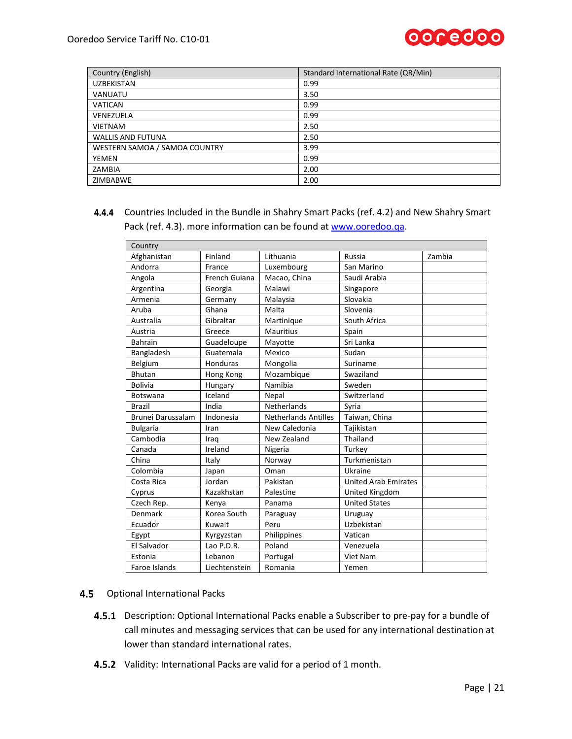

| Country (English)             | Standard International Rate (QR/Min) |
|-------------------------------|--------------------------------------|
| <b>UZBEKISTAN</b>             | 0.99                                 |
| <b>VANUATU</b>                | 3.50                                 |
| <b>VATICAN</b>                | 0.99                                 |
| VENEZUELA                     | 0.99                                 |
| <b>VIETNAM</b>                | 2.50                                 |
| <b>WALLIS AND FUTUNA</b>      | 2.50                                 |
| WESTERN SAMOA / SAMOA COUNTRY | 3.99                                 |
| YEMEN                         | 0.99                                 |
| ZAMBIA                        | 2.00                                 |
| ZIMBABWE                      | 2.00                                 |

<span id="page-20-0"></span>Countries Included in the Bundle in Shahry Smart Packs (ref[. 4.2\)](#page-6-1) and New Shahry Smart Pack (ref[. 4.3\)](#page-11-0). more information can be found a[t www.ooredoo.qa.](http://www.ooredoo.qa/)

| Country           |               |                             |                             |        |
|-------------------|---------------|-----------------------------|-----------------------------|--------|
| Afghanistan       | Finland       | Lithuania                   | Russia                      | Zambia |
| Andorra           | France        | Luxembourg                  | San Marino                  |        |
| Angola            | French Guiana | Macao, China                | Saudi Arabia                |        |
| Argentina         | Georgia       | Malawi                      | Singapore                   |        |
| Armenia           | Germany       | Malaysia                    | Slovakia                    |        |
| Aruba             | Ghana         | Malta                       | Slovenia                    |        |
| Australia         | Gibraltar     | Martinique                  | South Africa                |        |
| Austria           | Greece        | <b>Mauritius</b>            | Spain                       |        |
| <b>Bahrain</b>    | Guadeloupe    | Mayotte                     | Sri Lanka                   |        |
| Bangladesh        | Guatemala     | Mexico                      | Sudan                       |        |
| Belgium           | Honduras      | Mongolia                    | Suriname                    |        |
| Bhutan            | Hong Kong     | Mozambique                  | Swaziland                   |        |
| <b>Bolivia</b>    | Hungary       | Namibia                     | Sweden                      |        |
| <b>Botswana</b>   | Iceland       | Nepal                       | Switzerland                 |        |
| <b>Brazil</b>     | India         | Netherlands                 | Syria                       |        |
| Brunei Darussalam | Indonesia     | <b>Netherlands Antilles</b> | Taiwan, China               |        |
| <b>Bulgaria</b>   | Iran          | New Caledonia               | Tajikistan                  |        |
| Cambodia          | Iraq          | New Zealand                 | Thailand                    |        |
| Canada            | Ireland       | Nigeria                     | Turkev                      |        |
| China             | Italy         | Norway                      | Turkmenistan                |        |
| Colombia          | Japan         | Oman                        | Ukraine                     |        |
| Costa Rica        | Jordan        | Pakistan                    | <b>United Arab Emirates</b> |        |
| Cyprus            | Kazakhstan    | Palestine                   | United Kingdom              |        |
| Czech Rep.        | Kenya         | Panama                      | <b>United States</b>        |        |
| Denmark           | Korea South   | Paraguay                    | Uruguay                     |        |
| Ecuador           | Kuwait        | Peru                        | Uzbekistan                  |        |
| Egypt             | Kyrgyzstan    | Philippines                 | Vatican                     |        |
| El Salvador       | Lao P.D.R.    | Poland                      | Venezuela                   |        |
| Estonia           | Lebanon       | Portugal                    | Viet Nam                    |        |
| Faroe Islands     | Liechtenstein | Romania                     | Yemen                       |        |

- 4.5 Optional International Packs
	- 4.5.1 Description: Optional International Packs enable a Subscriber to pre-pay for a bundle of call minutes and messaging services that can be used for any international destination at lower than standard international rates.
	- 4.5.2 Validity: International Packs are valid for a period of 1 month.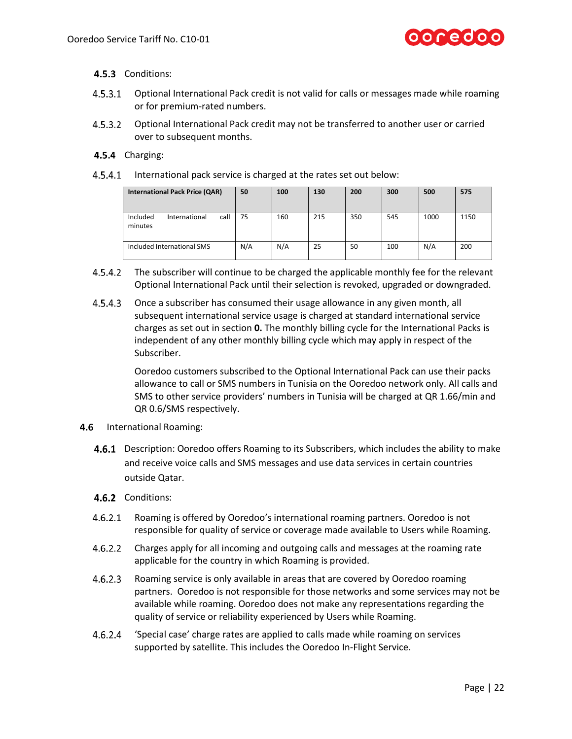

- 4.5.3 Conditions:
- $4.5.3.1$ Optional International Pack credit is not valid for calls or messages made while roaming or for premium-rated numbers.
- $4.5.3.2$ Optional International Pack credit may not be transferred to another user or carried over to subsequent months.

#### 4.5.4 Charging:

4.5.4.1 International pack service is charged at the rates set out below:

| <b>International Pack Price (QAR)</b>        | 50  | 100 | 130 | 200 | 300 | 500  | 575  |
|----------------------------------------------|-----|-----|-----|-----|-----|------|------|
| call<br>Included<br>International<br>minutes | 75  | 160 | 215 | 350 | 545 | 1000 | 1150 |
| Included International SMS                   | N/A | N/A | 25  | 50  | 100 | N/A  | 200  |

- $4.5.4.2$ The subscriber will continue to be charged the applicable monthly fee for the relevant Optional International Pack until their selection is revoked, upgraded or downgraded.
- $4.5.4.3$ Once a subscriber has consumed their usage allowance in any given month, all subsequent international service usage is charged at standard international service charges as set out in section **[0.](#page-15-0)** The monthly billing cycle for the International Packs is independent of any other monthly billing cycle which may apply in respect of the Subscriber.

<span id="page-21-0"></span>Ooredoo customers subscribed to the Optional International Pack can use their packs allowance to call or SMS numbers in Tunisia on the Ooredoo network only. All calls and SMS to other service providers' numbers in Tunisia will be charged at QR 1.66/min and QR 0.6/SMS respectively.

- 4.6 International Roaming:
	- **4.6.1** Description: Ooredoo offers Roaming to its Subscribers, which includes the ability to make and receive voice calls and SMS messages and use data services in certain countries outside Qatar.
	- 4.6.2 Conditions:
	- $4.6.2.1$ Roaming is offered by Ooredoo's international roaming partners. Ooredoo is not responsible for quality of service or coverage made available to Users while Roaming.
	- $4.6.2.2$ Charges apply for all incoming and outgoing calls and messages at the roaming rate applicable for the country in which Roaming is provided.
	- $4.6.2.3$ Roaming service is only available in areas that are covered by Ooredoo roaming partners. Ooredoo is not responsible for those networks and some services may not be available while roaming. Ooredoo does not make any representations regarding the quality of service or reliability experienced by Users while Roaming.
	- $4.6.2.4$ 'Special case' charge rates are applied to calls made while roaming on services supported by satellite. This includes the Ooredoo In-Flight Service.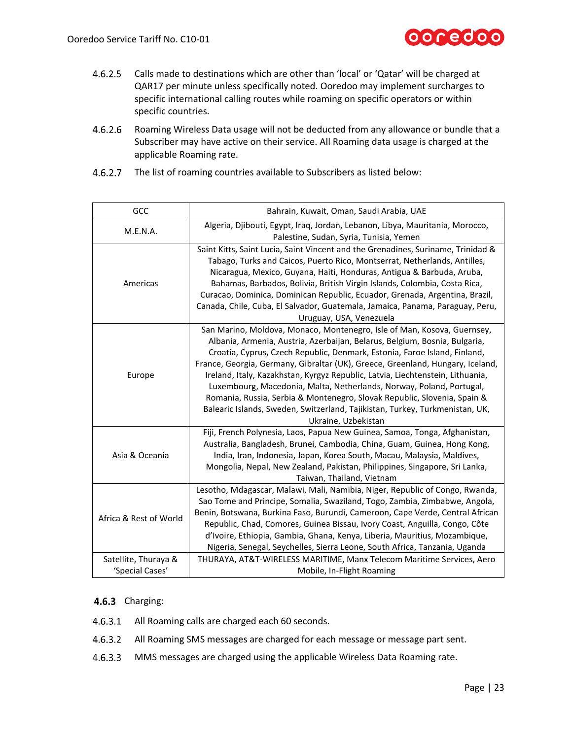

- $4.6.2.5$ Calls made to destinations which are other than 'local' or 'Qatar' will be charged at QAR17 per minute unless specifically noted. Ooredoo may implement surcharges to specific international calling routes while roaming on specific operators or within specific countries.
- $4.6.2.6$ Roaming Wireless Data usage will not be deducted from any allowance or bundle that a Subscriber may have active on their service. All Roaming data usage is charged at the applicable Roaming rate.

| 4.6.2.7 The list of roaming countries available to Subscribers as listed below: |
|---------------------------------------------------------------------------------|
|                                                                                 |

| GCC                                                                                                                                 | Bahrain, Kuwait, Oman, Saudi Arabia, UAE                                                                                                                                                                                                                                                                                                                                                                                                                                                                                                                                                                                                                          |  |  |  |
|-------------------------------------------------------------------------------------------------------------------------------------|-------------------------------------------------------------------------------------------------------------------------------------------------------------------------------------------------------------------------------------------------------------------------------------------------------------------------------------------------------------------------------------------------------------------------------------------------------------------------------------------------------------------------------------------------------------------------------------------------------------------------------------------------------------------|--|--|--|
| Algeria, Djibouti, Egypt, Iraq, Jordan, Lebanon, Libya, Mauritania, Morocco,<br>M.E.N.A.<br>Palestine, Sudan, Syria, Tunisia, Yemen |                                                                                                                                                                                                                                                                                                                                                                                                                                                                                                                                                                                                                                                                   |  |  |  |
| Americas                                                                                                                            | Saint Kitts, Saint Lucia, Saint Vincent and the Grenadines, Suriname, Trinidad &<br>Tabago, Turks and Caicos, Puerto Rico, Montserrat, Netherlands, Antilles,<br>Nicaragua, Mexico, Guyana, Haiti, Honduras, Antigua & Barbuda, Aruba,<br>Bahamas, Barbados, Bolivia, British Virgin Islands, Colombia, Costa Rica,<br>Curacao, Dominica, Dominican Republic, Ecuador, Grenada, Argentina, Brazil,<br>Canada, Chile, Cuba, El Salvador, Guatemala, Jamaica, Panama, Paraguay, Peru,<br>Uruguay, USA, Venezuela                                                                                                                                                    |  |  |  |
| Europe                                                                                                                              | San Marino, Moldova, Monaco, Montenegro, Isle of Man, Kosova, Guernsey,<br>Albania, Armenia, Austria, Azerbaijan, Belarus, Belgium, Bosnia, Bulgaria,<br>Croatia, Cyprus, Czech Republic, Denmark, Estonia, Faroe Island, Finland,<br>France, Georgia, Germany, Gibraltar (UK), Greece, Greenland, Hungary, Iceland,<br>Ireland, Italy, Kazakhstan, Kyrgyz Republic, Latvia, Liechtenstein, Lithuania,<br>Luxembourg, Macedonia, Malta, Netherlands, Norway, Poland, Portugal,<br>Romania, Russia, Serbia & Montenegro, Slovak Republic, Slovenia, Spain &<br>Balearic Islands, Sweden, Switzerland, Tajikistan, Turkey, Turkmenistan, UK,<br>Ukraine, Uzbekistan |  |  |  |
| Asia & Oceania                                                                                                                      | Fiji, French Polynesia, Laos, Papua New Guinea, Samoa, Tonga, Afghanistan,<br>Australia, Bangladesh, Brunei, Cambodia, China, Guam, Guinea, Hong Kong,<br>India, Iran, Indonesia, Japan, Korea South, Macau, Malaysia, Maldives,<br>Mongolia, Nepal, New Zealand, Pakistan, Philippines, Singapore, Sri Lanka,<br>Taiwan, Thailand, Vietnam                                                                                                                                                                                                                                                                                                                       |  |  |  |
| Africa & Rest of World                                                                                                              | Lesotho, Mdagascar, Malawi, Mali, Namibia, Niger, Republic of Congo, Rwanda,<br>Sao Tome and Principe, Somalia, Swaziland, Togo, Zambia, Zimbabwe, Angola,<br>Benin, Botswana, Burkina Faso, Burundi, Cameroon, Cape Verde, Central African<br>Republic, Chad, Comores, Guinea Bissau, Ivory Coast, Anguilla, Congo, Côte<br>d'Ivoire, Ethiopia, Gambia, Ghana, Kenya, Liberia, Mauritius, Mozambique,<br>Nigeria, Senegal, Seychelles, Sierra Leone, South Africa, Tanzania, Uganda                                                                                                                                                                              |  |  |  |
| Satellite, Thuraya &<br>'Special Cases'                                                                                             | THURAYA, AT&T-WIRELESS MARITIME, Manx Telecom Maritime Services, Aero<br>Mobile, In-Flight Roaming                                                                                                                                                                                                                                                                                                                                                                                                                                                                                                                                                                |  |  |  |

#### <span id="page-22-0"></span>4.6.3 Charging:

- 4.6.3.1 All Roaming calls are charged each 60 seconds.
- All Roaming SMS messages are charged for each message or message part sent.
- $4.6.3.3$ MMS messages are charged using the applicable Wireless Data Roaming rate.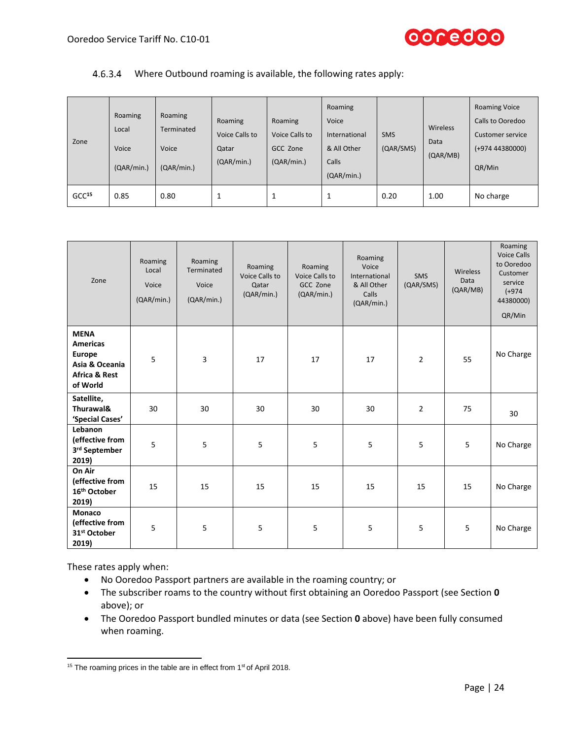

#### Where Outbound roaming is available, the following rates apply:

| Zone              | Roaming<br>Local<br>Voice<br>(QAR/min.) | Roaming<br>Terminated<br>Voice<br>(QAR/min.) | Roaming<br>Voice Calls to<br>Qatar<br>(QAR/min.) | Roaming<br>Voice Calls to<br>GCC Zone<br>(QAR/min.) | Roaming<br>Voice<br>International<br>& All Other<br>Calls<br>(QAR/min.) | <b>SMS</b><br>(QAR/SMS) | Wireless<br>Data<br>(QAR/MB) | <b>Roaming Voice</b><br>Calls to Ooredoo<br>Customer service<br>$(+97444380000)$<br>QR/Min |
|-------------------|-----------------------------------------|----------------------------------------------|--------------------------------------------------|-----------------------------------------------------|-------------------------------------------------------------------------|-------------------------|------------------------------|--------------------------------------------------------------------------------------------|
| GCC <sup>15</sup> | 0.85                                    | 0.80                                         |                                                  | 1                                                   | Ŧ                                                                       | 0.20                    | 1.00                         | No charge                                                                                  |

| Zone                                                                                               | Roaming<br>Local<br>Voice<br>(QAR/min.) | Roaming<br>Terminated<br>Voice<br>(QAR/min.) | Roaming<br>Voice Calls to<br>Qatar<br>(QAR/min.) | Roaming<br>Voice Calls to<br>GCC Zone<br>(QAR/min.) | Roaming<br>Voice<br>International<br>& All Other<br>Calls<br>(QAR/min.) | <b>SMS</b><br>(QAR/SMS) | Wireless<br>Data<br>(QAR/MB) | Roaming<br><b>Voice Calls</b><br>to Ooredoo<br>Customer<br>service<br>$(+974)$<br>44380000)<br>QR/Min |
|----------------------------------------------------------------------------------------------------|-----------------------------------------|----------------------------------------------|--------------------------------------------------|-----------------------------------------------------|-------------------------------------------------------------------------|-------------------------|------------------------------|-------------------------------------------------------------------------------------------------------|
| <b>MENA</b><br><b>Americas</b><br>Europe<br>Asia & Oceania<br><b>Africa &amp; Rest</b><br>of World | 5                                       | 3                                            | 17                                               | 17                                                  | 17                                                                      | $\overline{2}$          | 55                           | No Charge                                                                                             |
| Satellite,<br>Thurawal&<br>'Special Cases'                                                         | 30                                      | 30                                           | 30                                               | 30                                                  | 30                                                                      | $\overline{2}$          | 75                           | 30                                                                                                    |
| Lebanon<br>(effective from<br>3rd September<br>2019)                                               | 5                                       | 5                                            | 5                                                | 5                                                   | 5                                                                       | 5                       | 5                            | No Charge                                                                                             |
| On Air<br>(effective from<br>16 <sup>th</sup> October<br>2019)                                     | 15                                      | 15                                           | 15                                               | 15                                                  | 15                                                                      | 15                      | 15                           | No Charge                                                                                             |
| <b>Monaco</b><br>(effective from<br>31 <sup>st</sup> October<br>2019)                              | 5                                       | 5                                            | 5                                                | 5                                                   | 5                                                                       | 5                       | 5                            | No Charge                                                                                             |

These rates apply when:

- No Ooredoo Passport partners are available in the roaming country; or
- The subscriber roams to the country without first obtaining an Ooredoo Passport (see Section **[0](#page-21-0)** above); or
- The Ooredoo Passport bundled minutes or data (see Section **[0](#page-21-0)** above) have been fully consumed when roaming.

 $\overline{\phantom{a}}$ <sup>15</sup> The roaming prices in the table are in effect from  $1<sup>st</sup>$  of April 2018.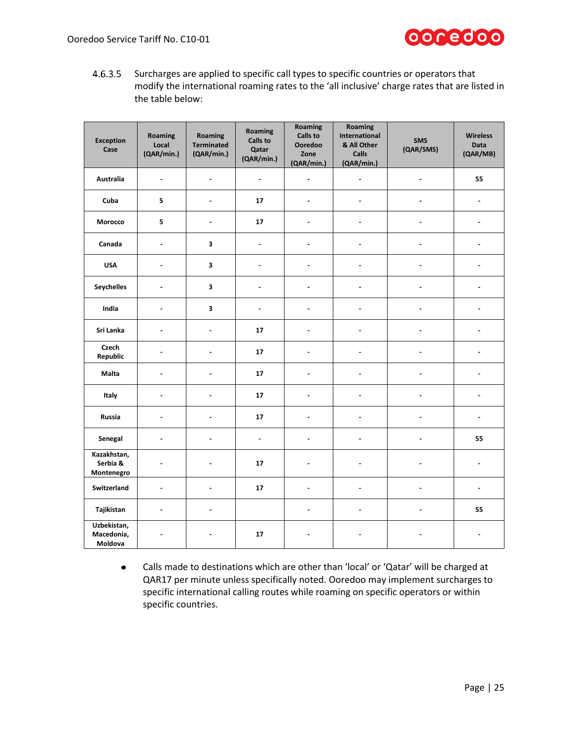

 $4.6.3.5$ Surcharges are applied to specific call types to specific countries or operators that modify the international roaming rates to the 'all inclusive' charge rates that are listed in the table below:

| <b>Exception</b><br>Case              | Roaming<br>Local<br>(QAR/min.) | Roaming<br><b>Terminated</b><br>(QAR/min.) | Roaming<br><b>Calls to</b><br>Qatar<br>(QAR/min.) | Roaming<br><b>Calls to</b><br>Ooredoo<br>Zone<br>(QAR/min.) | Roaming<br>International<br>& All Other<br>Calls<br>(QAR/min.) | <b>SMS</b><br>(QAR/SMS) | <b>Wireless</b><br><b>Data</b><br>(QAR/MB) |
|---------------------------------------|--------------------------------|--------------------------------------------|---------------------------------------------------|-------------------------------------------------------------|----------------------------------------------------------------|-------------------------|--------------------------------------------|
| <b>Australia</b>                      | $\overline{a}$                 | $\overline{a}$                             | $\blacksquare$                                    | ÷,                                                          | ÷,                                                             | $\overline{a}$          | 55                                         |
| Cuba                                  | 5                              | $\blacksquare$                             | 17                                                | $\overline{a}$                                              | $\blacksquare$                                                 | $\overline{a}$          | $\overline{a}$                             |
| Morocco                               | 5                              | $\overline{a}$                             | 17                                                |                                                             | ÷                                                              |                         |                                            |
| Canada                                | $\overline{a}$                 | 3                                          | $\blacksquare$                                    |                                                             |                                                                |                         |                                            |
| <b>USA</b>                            | $\sim$                         | 3                                          | $\blacksquare$                                    | $\blacksquare$                                              | ÷,                                                             |                         |                                            |
| <b>Seychelles</b>                     | $\overline{a}$                 | 3                                          | $\overline{a}$                                    | $\overline{a}$                                              | ÷                                                              |                         |                                            |
| India                                 | $\overline{a}$                 | 3                                          | $\blacksquare$                                    | ÷                                                           | ۷                                                              |                         |                                            |
| Sri Lanka                             | $\overline{a}$                 | $\overline{a}$                             | 17                                                | $\overline{a}$                                              | ۳                                                              |                         |                                            |
| Czech<br>Republic                     | $\blacksquare$                 | $\overline{a}$                             | 17                                                | ä,                                                          | $\blacksquare$                                                 | $\blacksquare$          | Ĭ.                                         |
| Malta                                 |                                | $\overline{a}$                             | 17                                                |                                                             | ÷                                                              |                         | L,                                         |
| Italy                                 | Ĭ.                             | L,                                         | 17                                                | ÷.                                                          | ÷,                                                             | ÷.                      | L,                                         |
| Russia                                | $\blacksquare$                 | ÷.                                         | 17                                                | $\overline{a}$                                              | ÷                                                              | $\blacksquare$          | $\overline{a}$                             |
| Senegal                               | $\overline{a}$                 | $\overline{a}$                             | $\overline{a}$                                    | $\overline{a}$                                              | $\overline{a}$                                                 | L.                      | 55                                         |
| Kazakhstan,<br>Serbia &<br>Montenegro |                                | L,                                         | 17                                                |                                                             |                                                                |                         | $\blacksquare$                             |
| Switzerland                           | $\blacksquare$                 | $\blacksquare$                             | 17                                                | $\blacksquare$                                              | ÷,                                                             | $\blacksquare$          | $\blacksquare$                             |
| Tajikistan                            | $\overline{a}$                 | $\overline{a}$                             |                                                   | $\overline{a}$                                              | ÷                                                              | $\overline{a}$          | 55                                         |
| Uzbekistan,<br>Macedonia,<br>Moldova  |                                |                                            | 17                                                |                                                             |                                                                |                         |                                            |

Calls made to destinations which are other than 'local' or 'Qatar' will be charged at  $\bullet$ QAR17 per minute unless specifically noted. Ooredoo may implement surcharges to specific international calling routes while roaming on specific operators or within specific countries.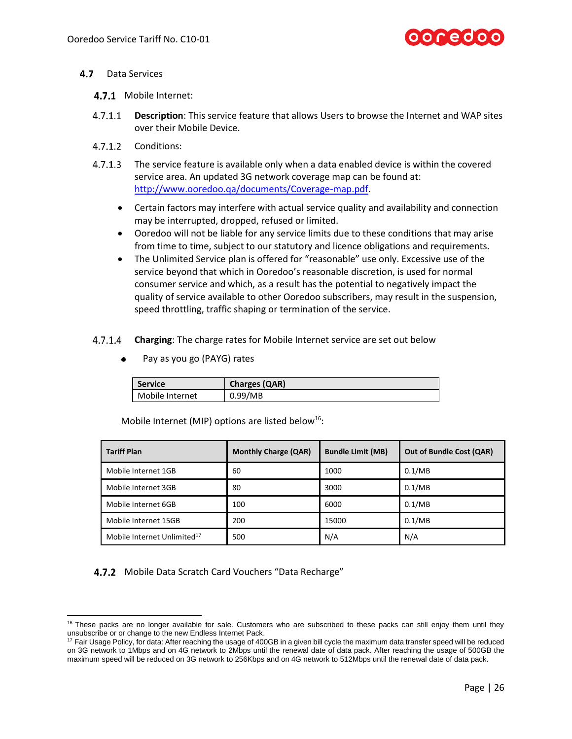- <span id="page-25-0"></span>4.7 Data Services
	- 4.7.1 Mobile Internet:
	- $4.7.1.1$ **Description**: This service feature that allows Users to browse the Internet and WAP sites over their Mobile Device.
	- 4712 Conditions:
	- $4.7.1.3$ The service feature is available only when a data enabled device is within the covered service area. An updated 3G network coverage map can be found at: [http://www.ooredoo.qa/documents/Coverage-map.pdf.](http://www.ooredoo.qa/documents/Coverage-map.pdf)
		- Certain factors may interfere with actual service quality and availability and connection may be interrupted, dropped, refused or limited.
		- Ooredoo will not be liable for any service limits due to these conditions that may arise from time to time, subject to our statutory and licence obligations and requirements.
		- The Unlimited Service plan is offered for "reasonable" use only. Excessive use of the service beyond that which in Ooredoo's reasonable discretion, is used for normal consumer service and which, as a result has the potential to negatively impact the quality of service available to other Ooredoo subscribers, may result in the suspension, speed throttling, traffic shaping or termination of the service.
	- **Charging**: The charge rates for Mobile Internet service are set out below
		- Pay as you go (PAYG) rates

| <b>Service</b>  | <b>Charges (QAR)</b> |
|-----------------|----------------------|
| Mobile Internet | 0.99/MB              |

| <b>Tariff Plan</b>                      | <b>Monthly Charge (QAR)</b> | <b>Bundle Limit (MB)</b> | <b>Out of Bundle Cost (QAR)</b> |
|-----------------------------------------|-----------------------------|--------------------------|---------------------------------|
| Mobile Internet 1GB                     | 60                          | 1000                     | 0.1/MB                          |
| Mobile Internet 3GB                     | 80                          | 3000                     | 0.1/MB                          |
| Mobile Internet 6GB                     | 100                         | 6000                     | 0.1/MB                          |
| Mobile Internet 15GB                    | 200                         | 15000                    | 0.1/MB                          |
| Mobile Internet Unlimited <sup>17</sup> | 500                         | N/A                      | N/A                             |

Mobile Internet (MIP) options are listed below<sup>16</sup>:

<span id="page-25-1"></span>4.7.2 Mobile Data Scratch Card Vouchers "Data Recharge"

l <sup>16</sup> These packs are no longer available for sale. Customers who are subscribed to these packs can still enjoy them until they unsubscribe or or change to the new Endless Internet Pack.

<sup>&</sup>lt;sup>17</sup> Fair Usage Policy, for data: After reaching the usage of 400GB in a given bill cycle the maximum data transfer speed will be reduced on 3G network to 1Mbps and on 4G network to 2Mbps until the renewal date of data pack. After reaching the usage of 500GB the maximum speed will be reduced on 3G network to 256Kbps and on 4G network to 512Mbps until the renewal date of data pack.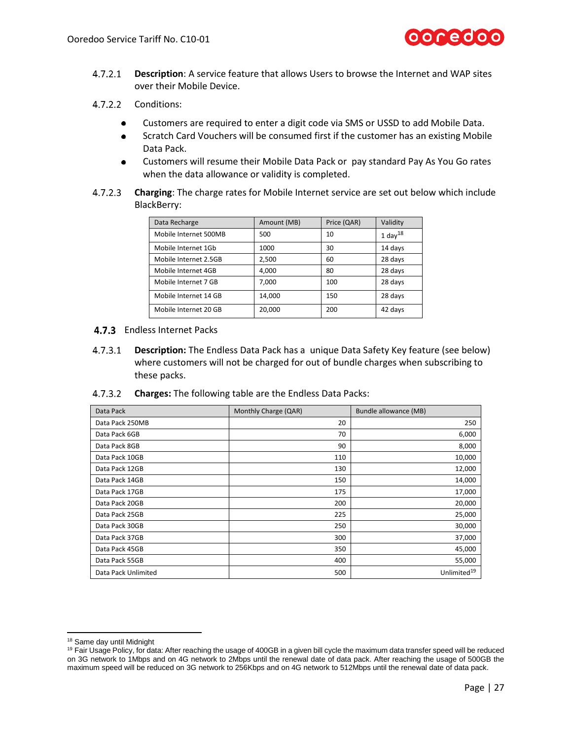

- $4.7.2.1$ **Description**: A service feature that allows Users to browse the Internet and WAP sites over their Mobile Device.
- 4.7.2.2 Conditions:
	- $\bullet$ Customers are required to enter a digit code via SMS or USSD to add Mobile Data.
	- Scratch Card Vouchers will be consumed first if the customer has an existing Mobile  $\bullet$ Data Pack.
	- Customers will resume their Mobile Data Pack or pay standard Pay As You Go rates when the data allowance or validity is completed.
- $4.7.2.3$ **Charging**: The charge rates for Mobile Internet service are set out below which include BlackBerry:

| Data Recharge         | Amount (MB) | Price (QAR) | Validity            |
|-----------------------|-------------|-------------|---------------------|
| Mobile Internet 500MB | 500         | 10          | 1 day <sup>18</sup> |
| Mobile Internet 1Gb   | 1000        | 30          | 14 days             |
| Mobile Internet 2.5GB | 2,500       | 60          | 28 days             |
| Mobile Internet 4GB   | 4.000       | 80          | 28 days             |
| Mobile Internet 7 GB  | 7,000       | 100         | 28 days             |
| Mobile Internet 14 GB | 14,000      | 150         | 28 days             |
| Mobile Internet 20 GB | 20,000      | 200         | 42 days             |

#### 4.7.3 Endless Internet Packs

- $4.7.3.1$ **Description:** The Endless Data Pack has a unique Data Safety Key feature (see below) where customers will not be charged for out of bundle charges when subscribing to these packs.
- **Charges:** The following table are the Endless Data Packs:

| Data Pack           | Monthly Charge (QAR) | Bundle allowance (MB)   |
|---------------------|----------------------|-------------------------|
| Data Pack 250MB     | 20                   | 250                     |
| Data Pack 6GB       | 70                   | 6,000                   |
| Data Pack 8GB       | 90                   | 8,000                   |
| Data Pack 10GB      | 110                  | 10,000                  |
| Data Pack 12GB      | 130                  | 12,000                  |
| Data Pack 14GB      | 150                  | 14,000                  |
| Data Pack 17GB      | 175                  | 17,000                  |
| Data Pack 20GB      | 200                  | 20,000                  |
| Data Pack 25GB      | 225                  | 25,000                  |
| Data Pack 30GB      | 250                  | 30,000                  |
| Data Pack 37GB      | 300                  | 37,000                  |
| Data Pack 45GB      | 350                  | 45,000                  |
| Data Pack 55GB      | 400                  | 55,000                  |
| Data Pack Unlimited | 500                  | Unlimited <sup>19</sup> |

l <sup>18</sup> Same day until Midnight

<sup>&</sup>lt;sup>19</sup> Fair Usage Policy, for data: After reaching the usage of 400GB in a given bill cycle the maximum data transfer speed will be reduced on 3G network to 1Mbps and on 4G network to 2Mbps until the renewal date of data pack. After reaching the usage of 500GB the maximum speed will be reduced on 3G network to 256Kbps and on 4G network to 512Mbps until the renewal date of data pack.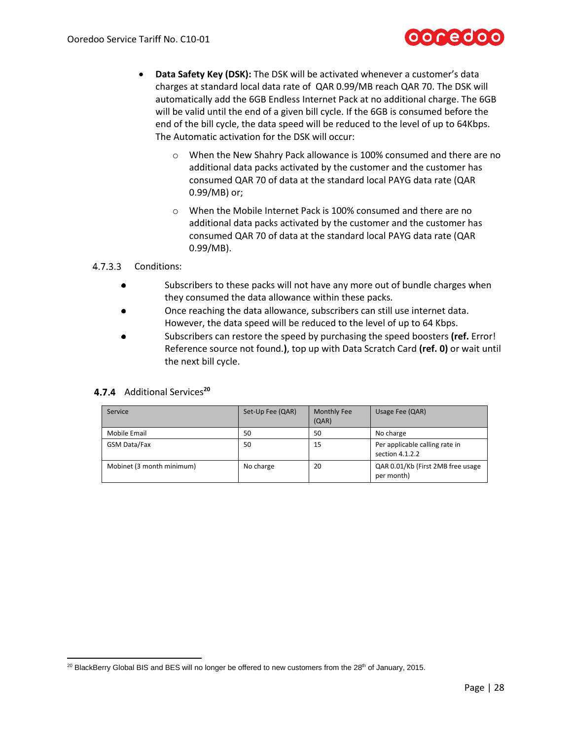

- **Data Safety Key (DSK):** The DSK will be activated whenever a customer's data charges at standard local data rate of QAR 0.99/MB reach QAR 70. The DSK will automatically add the 6GB Endless Internet Pack at no additional charge. The 6GB will be valid until the end of a given bill cycle. If the 6GB is consumed before the end of the bill cycle, the data speed will be reduced to the level of up to 64Kbps. The Automatic activation for the DSK will occur:
	- When the New Shahry Pack allowance is 100% consumed and there are no additional data packs activated by the customer and the customer has consumed QAR 70 of data at the standard local PAYG data rate (QAR 0.99/MB) or;
	- o When the Mobile Internet Pack is 100% consumed and there are no additional data packs activated by the customer and the customer has consumed QAR 70 of data at the standard local PAYG data rate (QAR 0.99/MB).

#### 4.7.3.3 Conditions:

- $\bullet$ Subscribers to these packs will not have any more out of bundle charges when they consumed the data allowance within these packs.
- Once reaching the data allowance, subscribers can still use internet data. However, the data speed will be reduced to the level of up to 64 Kbps.
- Subscribers can restore the speed by purchasing the speed boosters **(ref.** Error! Reference source not found.**)**, top up with Data Scratch Card **(ref[. 0\)](#page-25-1)** or wait until the next bill cycle.

#### 4.7.4 Additional Services<sup>20</sup>

| Service                   | Set-Up Fee (QAR) | Monthly Fee<br>(QAR) | Usage Fee (QAR)                                   |
|---------------------------|------------------|----------------------|---------------------------------------------------|
| Mobile Email              | 50               | 50                   | No charge                                         |
| GSM Data/Fax              | 50               | 15                   | Per applicable calling rate in<br>section 4.1.2.2 |
| Mobinet (3 month minimum) | No charge        | 20                   | QAR 0.01/Kb (First 2MB free usage<br>per month)   |

 $\overline{\phantom{a}}$ <sup>20</sup> BlackBerry Global BIS and BES will no longer be offered to new customers from the 28<sup>th</sup> of January, 2015.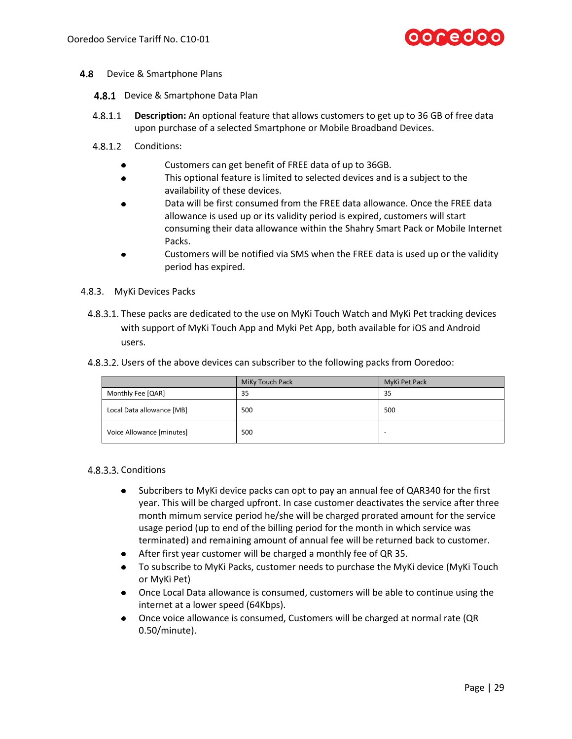

- **4.8** Device & Smartphone Plans
	- 4.8.1 Device & Smartphone Data Plan
	- $4.8.1.1$ **Description:** An optional feature that allows customers to get up to 36 GB of free data upon purchase of a selected Smartphone or Mobile Broadband Devices.
	- 4.8.1.2 Conditions:
		- Customers can get benefit of FREE data of up to 36GB.
		- This optional feature is limited to selected devices and is a subject to the  $\bullet$ availability of these devices.
		- Data will be first consumed from the FREE data allowance. Once the FREE data allowance is used up or its validity period is expired, customers will start consuming their data allowance within the Shahry Smart Pack or Mobile Internet Packs.
		- Customers will be notified via SMS when the FREE data is used up or the validity period has expired.
- 4.8.3. MyKi Devices Packs
	- 4.8.3.1. These packs are dedicated to the use on MyKi Touch Watch and MyKi Pet tracking devices with support of MyKi Touch App and Myki Pet App, both available for iOS and Android users.
	- Users of the above devices can subscriber to the following packs from Ooredoo:

|                           | MiKy Touch Pack | MyKi Pet Pack |
|---------------------------|-----------------|---------------|
| Monthly Fee [QAR]         | 35              | 35            |
| Local Data allowance [MB] | 500             | 500           |
| Voice Allowance [minutes] | 500             |               |

#### 4.8.3.3. Conditions

- Subcribers to MyKi device packs can opt to pay an annual fee of QAR340 for the first  $\bullet$ year. This will be charged upfront. In case customer deactivates the service after three month mimum service period he/she will be charged prorated amount for the service usage period (up to end of the billing period for the month in which service was terminated) and remaining amount of annual fee will be returned back to customer.
- After first year customer will be charged a monthly fee of QR 35.
- $\bullet$  . To subscribe to MyKi Packs, customer needs to purchase the MyKi device (MyKi Touch or MyKi Pet)
- Once Local Data allowance is consumed, customers will be able to continue using the internet at a lower speed (64Kbps).
- Once voice allowance is consumed, Customers will be charged at normal rate (QR 0.50/minute).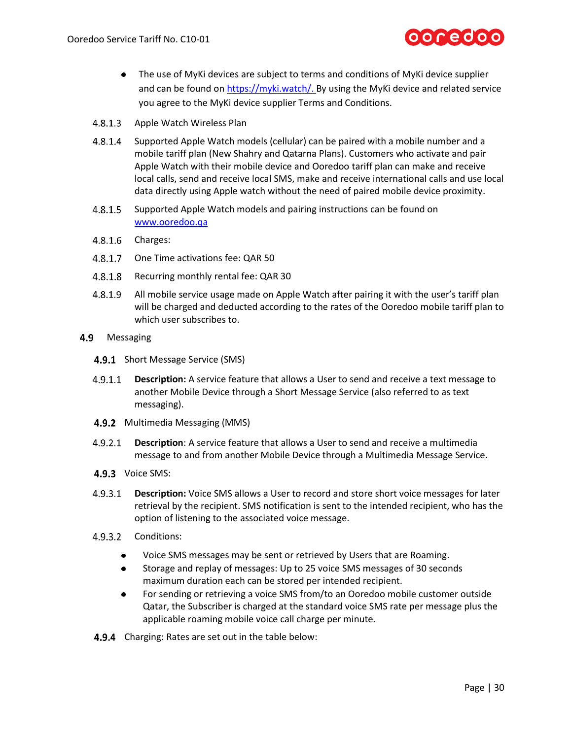

- The use of MyKi devices are subject to terms and conditions of MyKi device supplier and can be found on [https://myki.watch/.](https://myki.watch/) By using the MyKi device and related service you agree to the MyKi device supplier Terms and Conditions.
- $4.8.1.3$ Apple Watch Wireless Plan
- $4.8.1.4$ Supported Apple Watch models (cellular) can be paired with a mobile number and a mobile tariff plan (New Shahry and Qatarna Plans). Customers who activate and pair Apple Watch with their mobile device and Ooredoo tariff plan can make and receive local calls, send and receive local SMS, make and receive international calls and use local data directly using Apple watch without the need of paired mobile device proximity.
- $4.8.1.5$ Supported Apple Watch models and pairing instructions can be found on [www.ooredoo.qa](http://www.ooredoo.qa/)
- 4.8.1.6 Charges:
- $4.8.1.7$ One Time activations fee: QAR 50
- 4.8.1.8 Recurring monthly rental fee: QAR 30
- 4.8.1.9 All mobile service usage made on Apple Watch after pairing it with the user's tariff plan will be charged and deducted according to the rates of the Ooredoo mobile tariff plan to which user subscribes to.
- 4.9 Messaging
	- 4.9.1 Short Message Service (SMS)
	- **Description:** A service feature that allows a User to send and receive a text message to  $4.9.1.1$ another Mobile Device through a Short Message Service (also referred to as text messaging).
	- 4.9.2 Multimedia Messaging (MMS)
	- **Description**: A service feature that allows a User to send and receive a multimedia  $4.9.2.1$ message to and from another Mobile Device through a Multimedia Message Service.
	- 4.9.3 Voice SMS:
	- $4.9.3.1$ **Description:** Voice SMS allows a User to record and store short voice messages for later retrieval by the recipient. SMS notification is sent to the intended recipient, who has the option of listening to the associated voice message.
	- 4.9.3.2 Conditions:
		- Voice SMS messages may be sent or retrieved by Users that are Roaming.  $\bullet$
		- Storage and replay of messages: Up to 25 voice SMS messages of 30 seconds  $\bullet$ maximum duration each can be stored per intended recipient.
		- For sending or retrieving a voice SMS from/to an Ooredoo mobile customer outside Qatar, the Subscriber is charged at the standard voice SMS rate per message plus the applicable roaming mobile voice call charge per minute.
	- 4.9.4 Charging: Rates are set out in the table below: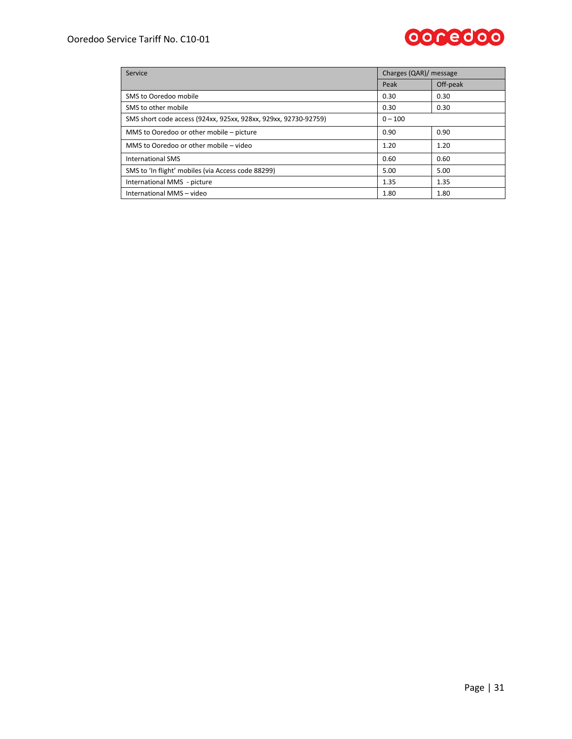#### Ooredoo Service Tariff No. C10-01



| Service                                                         | Charges (QAR)/ message |          |  |
|-----------------------------------------------------------------|------------------------|----------|--|
|                                                                 | Peak                   | Off-peak |  |
| SMS to Ooredoo mobile                                           | 0.30                   | 0.30     |  |
| SMS to other mobile                                             | 0.30                   | 0.30     |  |
| SMS short code access (924xx, 925xx, 928xx, 929xx, 92730-92759) | $0 - 100$              |          |  |
| MMS to Ooredoo or other mobile - picture                        | 0.90                   | 0.90     |  |
| MMS to Ooredoo or other mobile – video                          | 1.20                   | 1.20     |  |
| <b>International SMS</b>                                        | 0.60                   | 0.60     |  |
| SMS to 'In flight' mobiles (via Access code 88299)              | 5.00                   | 5.00     |  |
| International MMS - picture                                     | 1.35                   | 1.35     |  |
| International MMS - video                                       | 1.80                   | 1.80     |  |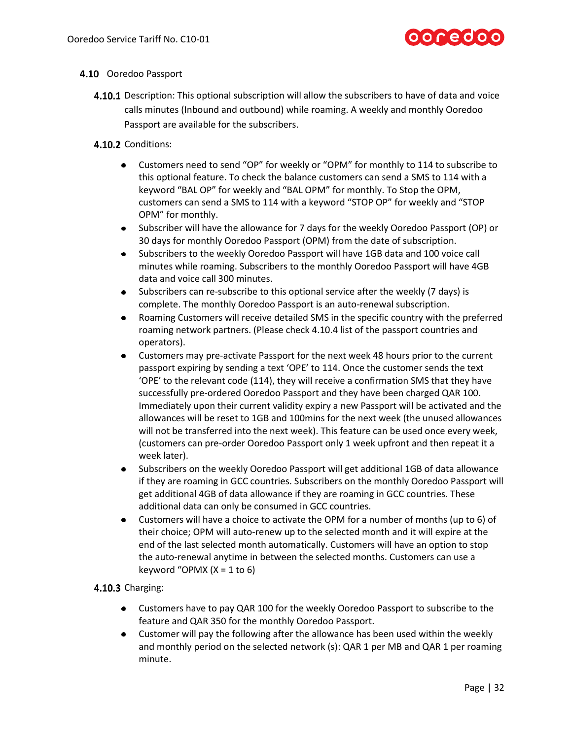# ocedo

#### 4.10 Ooredoo Passport

- **4.10.1** Description: This optional subscription will allow the subscribers to have of data and voice calls minutes (Inbound and outbound) while roaming. A weekly and monthly Ooredoo Passport are available for the subscribers.
- 4.10.2 Conditions:
	- $\bullet$ Customers need to send "OP" for weekly or "OPM" for monthly to 114 to subscribe to this optional feature. To check the balance customers can send a SMS to 114 with a keyword "BAL OP" for weekly and "BAL OPM" for monthly. To Stop the OPM, customers can send a SMS to 114 with a keyword "STOP OP" for weekly and "STOP OPM" for monthly.
	- Subscriber will have the allowance for 7 days for the weekly Ooredoo Passport (OP) or 30 days for monthly Ooredoo Passport (OPM) from the date of subscription.
	- Subscribers to the weekly Ooredoo Passport will have 1GB data and 100 voice call minutes while roaming. Subscribers to the monthly Ooredoo Passport will have 4GB data and voice call 300 minutes.
	- Subscribers can re-subscribe to this optional service after the weekly (7 days) is  $\bullet$ complete. The monthly Ooredoo Passport is an auto-renewal subscription.
	- Roaming Customers will receive detailed SMS in the specific country with the preferred  $\bullet$ roaming network partners. (Please check 4.10.4 list of the passport countries and operators).
	- $\bullet$ Customers may pre-activate Passport for the next week 48 hours prior to the current passport expiring by sending a text 'OPE' to 114. Once the customer sends the text 'OPE' to the relevant code (114), they will receive a confirmation SMS that they have successfully pre-ordered Ooredoo Passport and they have been charged QAR 100. Immediately upon their current validity expiry a new Passport will be activated and the allowances will be reset to 1GB and 100mins for the next week (the unused allowances will not be transferred into the next week). This feature can be used once every week, (customers can pre-order Ooredoo Passport only 1 week upfront and then repeat it a week later).
	- $\bullet$ Subscribers on the weekly Ooredoo Passport will get additional 1GB of data allowance if they are roaming in GCC countries. Subscribers on the monthly Ooredoo Passport will get additional 4GB of data allowance if they are roaming in GCC countries. These additional data can only be consumed in GCC countries.
	- Customers will have a choice to activate the OPM for a number of months (up to 6) of their choice; OPM will auto-renew up to the selected month and it will expire at the end of the last selected month automatically. Customers will have an option to stop the auto-renewal anytime in between the selected months. Customers can use a keyword "OPMX  $(X = 1$  to 6)

#### $4.10.3$  Charging:

- Customers have to pay QAR 100 for the weekly Ooredoo Passport to subscribe to the feature and QAR 350 for the monthly Ooredoo Passport.
- Customer will pay the following after the allowance has been used within the weekly and monthly period on the selected network (s): QAR 1 per MB and QAR 1 per roaming minute.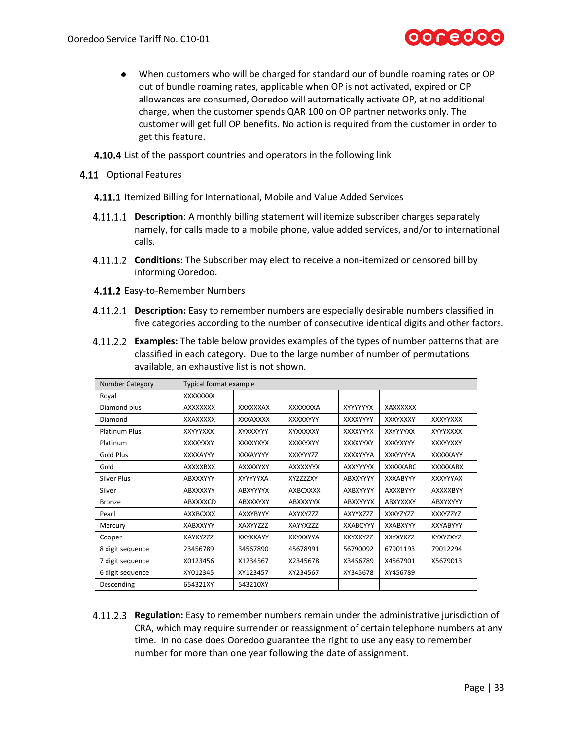

- When customers who will be charged for standard our of bundle roaming rates or OP out of bundle roaming rates, applicable when OP is not activated, expired or OP allowances are consumed, Ooredoo will automatically activate OP, at no additional charge, when the customer spends QAR 100 on OP partner networks only. The customer will get full OP benefits. No action is required from the customer in order to get this feature.
- 4.10.4 List of the passport countries and operators in the following link
- 4.11 Optional Features
	- 4.11.1 Itemized Billing for International, Mobile and Value Added Services
	- **Description**: A monthly billing statement will itemize subscriber charges separately namely, for calls made to a mobile phone, value added services, and/or to international calls.
	- **Conditions**: The Subscriber may elect to receive a non-itemized or censored bill by informing Ooredoo.
	- 4.11.2 Easy-to-Remember Numbers
	- **Description:** Easy to remember numbers are especially desirable numbers classified in five categories according to the number of consecutive identical digits and other factors.
	- **Examples:** The table below provides examples of the types of number patterns that are classified in each category. Due to the large number of number of permutations available, an exhaustive list is not shown.

| <b>Number Category</b> | <b>Typical format example</b> |                 |                 |                 |                 |                 |  |
|------------------------|-------------------------------|-----------------|-----------------|-----------------|-----------------|-----------------|--|
| Royal                  | <b>XXXXXXXX</b>               |                 |                 |                 |                 |                 |  |
| Diamond plus           | <b>AXXXXXXX</b>               | XXXXXXAX        | XXXXXXXA        | XYYYYYYX        | XAXXXXXX        |                 |  |
| Diamond                | <b>XXAXXXXX</b>               | <b>XXXAXXXX</b> | XXXXXYYY        | XXXXYYYY        | XXXYXXXY        | <b>XXXYYXXX</b> |  |
| <b>Platinum Plus</b>   | <b>XXYYYXXX</b>               | XYXXXYYY        | XYXXXXXY        | XXXXYYYX        | <b>XXYYYYXX</b> | XYYYXXXX        |  |
| Platinum               | XXXXYXXY                      | <b>XXXXYXYX</b> | XXXXYXYY        | XXXXYYXY        | XXXYXYYY        | XXXYYXXY        |  |
| Gold Plus              | XXXXAYYY                      | <b>XXXAYYYY</b> | <b>XXXYYYZZ</b> | XXXXYYYA        | <b>XXXYYYYA</b> | <b>XXXXXAYY</b> |  |
| Gold                   | <b>AXXXXBXX</b>               | AXXXXYXY        | <b>AXXXXYYX</b> | <b>AXXYYYYX</b> | <b>XXXXXABC</b> | XXXXXABX        |  |
| <b>Silver Plus</b>     | <b>ABXXXYYY</b>               | XYYYYYXA        | <b>XYZZZZXY</b> | ABXXYYYY        | <b>XXXABYYY</b> | <b>XXXYYYAX</b> |  |
| Silver                 | <b>ABXXXXYY</b>               | <b>ABXYYYYX</b> | <b>AXBCXXXX</b> | AXBXYYYY        | <b>AXXXBYYY</b> | <b>AXXXXBYY</b> |  |
| <b>Bronze</b>          | ABXXXXCD                      | <b>ABXXXYXY</b> | <b>ABXXXYYX</b> | <b>ABXXYYYX</b> | ABXYXXXY        | <b>ABXYXYYY</b> |  |
| Pearl                  | <b>AXXBCXXX</b>               | <b>AXXYBYYY</b> | AXYXYZZZ        | AXYYXZZZ        | <b>XXXYZYZZ</b> | XXXYZZYZ        |  |
| Mercury                | <b>XABXXYYY</b>               | XAXYYZZZ        | XAYYXZZZ        | <b>XXABCYYY</b> | <b>XXABXYYY</b> | <b>XXYABYYY</b> |  |
| Cooper                 | XAYXYZZZ                      | XXYXXAYY        | XXYXXYYA        | XXYXXYZZ        | XXYXYXZZ        | XYXYZXYZ        |  |
| 8 digit sequence       | 23456789                      | 34567890        | 45678991        | 56790092        | 67901193        | 79012294        |  |
| 7 digit sequence       | X0123456                      | X1234567        | X2345678        | X3456789        | X4567901        | X5679013        |  |
| 6 digit sequence       | XY012345                      | XY123457        | XY234567        | XY345678        | XY456789        |                 |  |
| Descending             | 654321XY                      | 543210XY        |                 |                 |                 |                 |  |

**Regulation:** Easy to remember numbers remain under the administrative jurisdiction of CRA, which may require surrender or reassignment of certain telephone numbers at any time. In no case does Ooredoo guarantee the right to use any easy to remember number for more than one year following the date of assignment.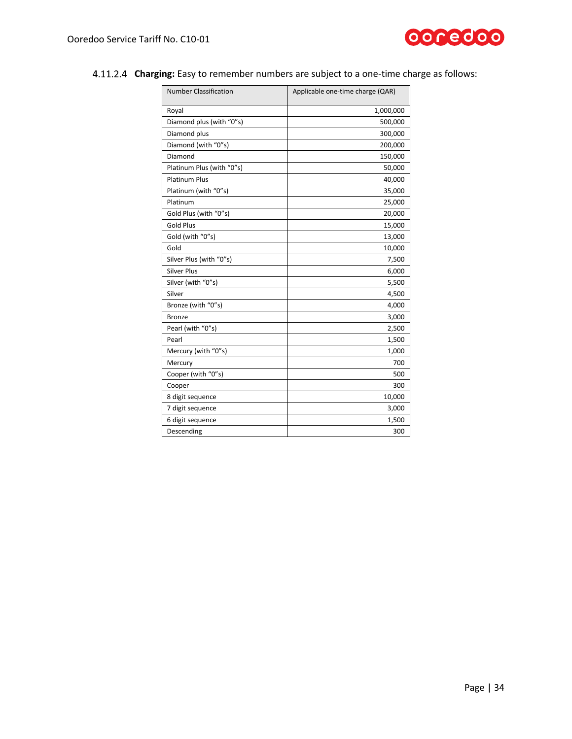

| . .                          |                                  |
|------------------------------|----------------------------------|
| <b>Number Classification</b> | Applicable one-time charge (QAR) |
| Roval                        | 1,000,000                        |
| Diamond plus (with "0"s)     | 500,000                          |
| Diamond plus                 | 300,000                          |
| Diamond (with "0"s)          | 200,000                          |

Diamond 150,000 Platinum Plus (with "0"s) and the set of the set of the set of the set of the set of the set of the set of the set of the set of the set of the set of the set of the set of the set of the set of the set of the set of the s Platinum Plus 40,000 Platinum (with "0"s) 35,000 Platinum 25,000 Gold Plus (with "0"s) 20,000 Gold Plus 15,000 Gold (with "0"s) 13,000 Gold 10,000 Silver Plus (with "0"s) 2,500 Silver Plus 6,000 Silver (with "0"s) 5,500  $Silver$  and  $4,500$ Bronze (with "0"s) 4,000 Bronze 3,000 Pearl (with "0"s) 2,500 Pearl 1,500 Mercury (with "0"s) 1,000 Mercury 700 Cooper (with "0"s) 500 Cooper 300 8 digit sequence 10,000 7 digit sequence and  $\vert$  3,000 6 digit sequence and the set of the set of the set of the set of the set of the set of the set of the set of the set of the set of the set of the set of the set of the set of the set of the set of the set of the set of the Descending 300

#### **Charging:** Easy to remember numbers are subject to a one-time charge as follows: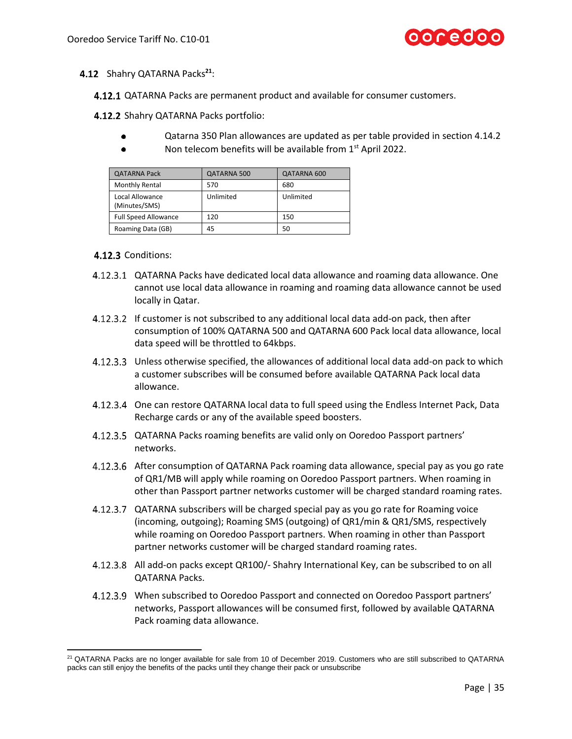

#### 4.12 Shahry QATARNA Packs<sup>21</sup>:

**4.12.1** QATARNA Packs are permanent product and available for consumer customers.

4.12.2 Shahry QATARNA Packs portfolio:

- Qatarna 350 Plan allowances are updated as per table provided in section [4.14.2](#page-36-0)
- Non telecom benefits will be available from 1<sup>st</sup> April 2022.

| <b>QATARNA Pack</b>              | QATARNA 500 | QATARNA 600 |
|----------------------------------|-------------|-------------|
| Monthly Rental                   | 570         | 680         |
| Local Allowance<br>(Minutes/SMS) | Unlimited   | Unlimited   |
| <b>Full Speed Allowance</b>      | 120         | 150         |
| Roaming Data (GB)                | 45          | 50          |

#### 4.12.3 Conditions:

- QATARNA Packs have dedicated local data allowance and roaming data allowance. One cannot use local data allowance in roaming and roaming data allowance cannot be used locally in Qatar.
- 4.12.3.2 If customer is not subscribed to any additional local data add-on pack, then after consumption of 100% QATARNA 500 and QATARNA 600 Pack local data allowance, local data speed will be throttled to 64kbps.
- Unless otherwise specified, the allowances of additional local data add-on pack to which a customer subscribes will be consumed before available QATARNA Pack local data allowance.
- 4.12.3.4 One can restore QATARNA local data to full speed using the Endless Internet Pack, Data Recharge cards or any of the available speed boosters.
- 4.12.3.5 QATARNA Packs roaming benefits are valid only on Ooredoo Passport partners' networks.
- After consumption of QATARNA Pack roaming data allowance, special pay as you go rate of QR1/MB will apply while roaming on Ooredoo Passport partners. When roaming in other than Passport partner networks customer will be charged standard roaming rates.
- QATARNA subscribers will be charged special pay as you go rate for Roaming voice (incoming, outgoing); Roaming SMS (outgoing) of QR1/min & QR1/SMS, respectively while roaming on Ooredoo Passport partners. When roaming in other than Passport partner networks customer will be charged standard roaming rates.
- All add-on packs except QR100/- Shahry International Key, can be subscribed to on all QATARNA Packs.
- When subscribed to Ooredoo Passport and connected on Ooredoo Passport partners' networks, Passport allowances will be consumed first, followed by available QATARNA Pack roaming data allowance.

<sup>&</sup>lt;sup>21</sup> QATARNA Packs are no longer available for sale from 10 of December 2019. Customers who are still subscribed to QATARNA packs can still enjoy the benefits of the packs until they change their pack or unsubscribe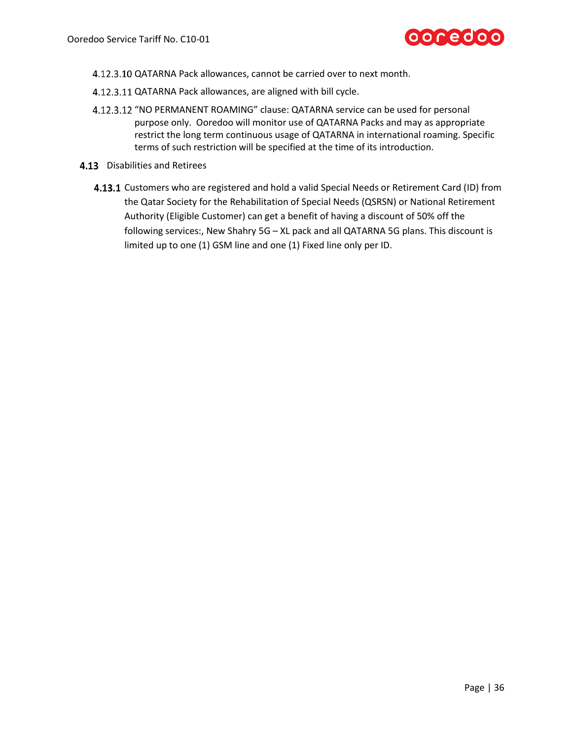

- 4.12.3.10 QATARNA Pack allowances, cannot be carried over to next month.
- 4.12.3.11 QATARNA Pack allowances, are aligned with bill cycle.
- 4.12.3.12 "NO PERMANENT ROAMING" clause: QATARNA service can be used for personal purpose only. Ooredoo will monitor use of QATARNA Packs and may as appropriate restrict the long term continuous usage of QATARNA in international roaming. Specific terms of such restriction will be specified at the time of its introduction.
- 4.13 Disabilities and Retirees
	- 4.13.1 Customers who are registered and hold a valid Special Needs or Retirement Card (ID) from the Qatar Society for the Rehabilitation of Special Needs (QSRSN) or National Retirement Authority (Eligible Customer) can get a benefit of having a discount of 50% off the following services:, New Shahry 5G – XL pack and all QATARNA 5G plans. This discount is limited up to one (1) GSM line and one (1) Fixed line only per ID.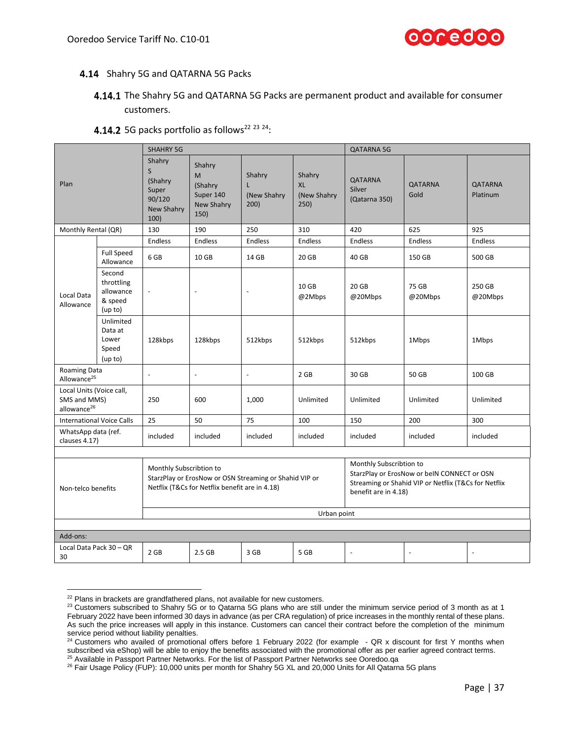

#### <span id="page-36-1"></span>4.14 Shahry 5G and QATARNA 5G Packs

### 4.14.1 The Shahry 5G and QATARNA 5G Packs are permanent product and available for consumer customers.

<span id="page-36-0"></span>

| Plan                                                                |                                                         | <b>SHAHRY 5G</b>                                                           |                                                           |                                                        |                                                                                                                                                        | <b>QATARNA 5G</b>                         |                  |                          |
|---------------------------------------------------------------------|---------------------------------------------------------|----------------------------------------------------------------------------|-----------------------------------------------------------|--------------------------------------------------------|--------------------------------------------------------------------------------------------------------------------------------------------------------|-------------------------------------------|------------------|--------------------------|
|                                                                     |                                                         | Shahry<br>$\mathsf{S}$<br>(Shahry<br>Super<br>90/120<br>New Shahry<br>100) | Shahry<br>M<br>(Shahry<br>Super 140<br>New Shahry<br>150) | Shahry<br>L<br>(New Shahry<br>200)                     | Shahry<br><b>XL</b><br>(New Shahry<br>250)                                                                                                             | <b>QATARNA</b><br>Silver<br>(Qatarna 350) | QATARNA<br>Gold  | QATARNA<br>Platinum      |
| Monthly Rental (QR)                                                 |                                                         | 130                                                                        | 190                                                       | 250                                                    | 310                                                                                                                                                    | 420                                       | 625              | 925                      |
|                                                                     |                                                         | Endless                                                                    | <b>Endless</b>                                            | <b>Endless</b>                                         | Endless                                                                                                                                                | <b>Endless</b>                            | <b>Endless</b>   | <b>Endless</b>           |
|                                                                     | <b>Full Speed</b><br>Allowance                          | 6 GB                                                                       | 10 GB                                                     | 14 GB                                                  | 20 GB                                                                                                                                                  | 40 GB                                     | 150 GB           | 500 GB                   |
| Local Data<br>Allowance                                             | Second<br>throttling<br>allowance<br>& speed<br>(up to) | $\overline{\phantom{a}}$                                                   | ÷,                                                        | ÷,                                                     | 10 GB<br>@2Mbps                                                                                                                                        | 20 GB<br>@20Mbps                          | 75 GB<br>@20Mbps | 250 GB<br>@20Mbps        |
|                                                                     | Unlimited<br>Data at<br>Lower<br>Speed<br>(up to)       | 128kbps                                                                    | 128kbps                                                   | 512kbps                                                | 512kbps                                                                                                                                                | 512kbps                                   | 1Mbps            | 1Mbps                    |
| Roaming Data<br>Allowance <sup>25</sup>                             |                                                         | $\sim$                                                                     | $\overline{a}$                                            | $\overline{a}$                                         | 2 GB                                                                                                                                                   | 30 GB                                     | 50 GB            | 100 GB                   |
| Local Units (Voice call,<br>SMS and MMS)<br>allowance <sup>26</sup> |                                                         | 250                                                                        | 600                                                       | 1,000                                                  | Unlimited                                                                                                                                              | Unlimited                                 | Unlimited        | Unlimited                |
| <b>International Voice Calls</b>                                    |                                                         | 25                                                                         | 50                                                        | 75                                                     | 100                                                                                                                                                    | 150                                       | 200              | 300                      |
| WhatsApp data (ref.<br>clauses 4.17)                                |                                                         | included                                                                   | included                                                  | included                                               | included                                                                                                                                               | included                                  | included         | included                 |
| Non-telco benefits                                                  |                                                         | Monthly Subscribtion to                                                    | Netflix (T&Cs for Netflix benefit are in 4.18)            | StarzPlay or ErosNow or OSN Streaming or Shahid VIP or | Monthly Subscribtion to<br>StarzPlay or ErosNow or beIN CONNECT or OSN<br>Streaming or Shahid VIP or Netflix (T&Cs for Netflix<br>benefit are in 4.18) |                                           |                  |                          |
|                                                                     |                                                         | Urban point                                                                |                                                           |                                                        |                                                                                                                                                        |                                           |                  |                          |
|                                                                     |                                                         |                                                                            |                                                           |                                                        |                                                                                                                                                        |                                           |                  |                          |
| Add-ons:                                                            |                                                         |                                                                            |                                                           |                                                        |                                                                                                                                                        |                                           |                  |                          |
| Local Data Pack 30 - QR<br>30                                       |                                                         | 2 GB                                                                       | 2.5 <sub>GB</sub>                                         | 3 GB                                                   | 5 GB                                                                                                                                                   | $\overline{a}$                            | $\overline{a}$   | $\overline{\phantom{a}}$ |

#### 4.14.2 5G packs portfolio as follows<sup>22 23 24</sup>:

 $22$  Plans in brackets are grandfathered plans, not available for new customers.

<sup>&</sup>lt;sup>23</sup> Customers subscribed to Shahry 5G or to Qatarna 5G plans who are still under the minimum service period of 3 month as at 1 February 2022 have been informed 30 days in advance (as per CRA regulation) of price increases in the monthly rental of these plans. As such the price increases will apply in this instance. Customers can cancel their contract before the completion of the minimum service period without liability penalties.

 $^{24}$  Customers who availed of promotional offers before 1 February 2022 (for example - QR x discount for first Y months when subscribed via eShop) will be able to enjoy the benefits associated with the promotional offer as per earlier agreed contract terms.

<sup>25</sup> Available in Passport Partner Networks. For the list of Passport Partner Networks see Ooredoo.qa <sup>26</sup> Fair Usage Policy (FUP): 10,000 units per month for Shahry 5G XL and 20,000 Units for All Qatarna 5G plans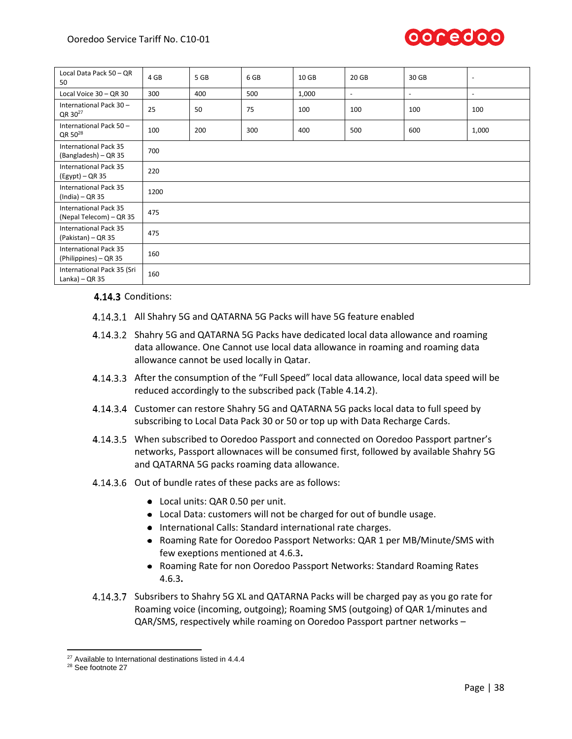

<span id="page-37-0"></span>

| Local Data Pack 50 - QR<br>50                                  | 4 GB | 5 GB | 6 GB | 10 GB | 20 GB          | 30 GB                    | $\overline{\phantom{a}}$ |
|----------------------------------------------------------------|------|------|------|-------|----------------|--------------------------|--------------------------|
| Local Voice 30 - QR 30                                         | 300  | 400  | 500  | 1,000 | $\blacksquare$ | $\overline{\phantom{a}}$ | $\overline{\phantom{a}}$ |
| International Pack 30-<br>QR 30 <sup>27</sup>                  | 25   | 50   | 75   | 100   | 100            | 100                      | 100                      |
| International Pack 50 -<br>QR 50 <sup>28</sup>                 | 100  | 200  | 300  | 400   | 500            | 600                      | 1,000                    |
| <b>International Pack 35</b><br>(Bangladesh) – QR 35           | 700  |      |      |       |                |                          |                          |
| <b>International Pack 35</b><br>$(Egypt) - QR 35$              | 220  |      |      |       |                |                          |                          |
| <b>International Pack 35</b><br>(India) – QR 35                | 1200 |      |      |       |                |                          |                          |
| <b>International Pack 35</b><br>475<br>(Nepal Telecom) – QR 35 |      |      |      |       |                |                          |                          |
| <b>International Pack 35</b><br>475<br>(Pakistan) - QR 35      |      |      |      |       |                |                          |                          |
| <b>International Pack 35</b><br>160<br>(Philippines) – QR 35   |      |      |      |       |                |                          |                          |
| International Pack 35 (Sri<br>Lanka) $-$ QR 35                 | 160  |      |      |       |                |                          |                          |

#### 4.14.3 Conditions:

- All Shahry 5G and QATARNA 5G Packs will have 5G feature enabled
- Shahry 5G and QATARNA 5G Packs have dedicated local data allowance and roaming data allowance. One Cannot use local data allowance in roaming and roaming data allowance cannot be used locally in Qatar.
- After the consumption of the "Full Speed" local data allowance, local data speed will be reduced accordingly to the subscribed pack (Table [4.14.2\)](#page-36-0).
- 4.14.3.4 Customer can restore Shahry 5G and QATARNA 5G packs local data to full speed by subscribing to Local Data Pack 30 or 50 or top up with Data Recharge Cards.
- When subscribed to Ooredoo Passport and connected on Ooredoo Passport partner's networks, Passport allownaces will be consumed first, followed by available Shahry 5G and QATARNA 5G packs roaming data allowance.
- 4.14.3.6 Out of bundle rates of these packs are as follows:
	- Local units: QAR 0.50 per unit.
	- Local Data: customers will not be charged for out of bundle usage.
	- $\bullet$  International Calls: Standard international rate charges.
	- Roaming Rate for Ooredoo Passport Networks: QAR 1 per MB/Minute/SMS with few exeptions mentioned at [4.6.3](#page-22-0)**.**
	- Roaming Rate for non Ooredoo Passport Networks: Standard Roaming Rates [4.6.3](#page-22-0)**.**
- 4.14.3.7 Subsribers to Shahry 5G XL and QATARNA Packs will be charged pay as you go rate for Roaming voice (incoming, outgoing); Roaming SMS (outgoing) of QAR 1/minutes and QAR/SMS, respectively while roaming on Ooredoo Passport partner networks –

<sup>&</sup>lt;sup>27</sup> Available to International destinations listed in [4.4.4](#page-20-0)

<sup>28</sup> See footnote [27](#page-37-0)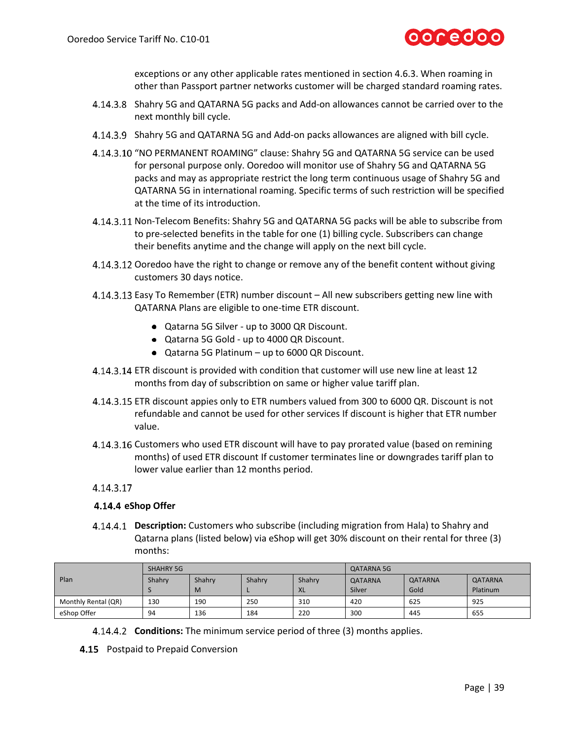

exceptions or any other applicable rates mentioned in sectio[n 4.6.3.](#page-22-0) When roaming in other than Passport partner networks customer will be charged standard roaming rates.

- Shahry 5G and QATARNA 5G packs and Add-on allowances cannot be carried over to the next monthly bill cycle.
- 4.14.3.9 Shahry 5G and QATARNA 5G and Add-on packs allowances are aligned with bill cycle.
- 4.14.3.10 "NO PERMANENT ROAMING" clause: Shahry 5G and QATARNA 5G service can be used for personal purpose only. Ooredoo will monitor use of Shahry 5G and QATARNA 5G packs and may as appropriate restrict the long term continuous usage of Shahry 5G and QATARNA 5G in international roaming. Specific terms of such restriction will be specified at the time of its introduction.
- 4.14.3.11 Non-Telecom Benefits: Shahry 5G and QATARNA 5G packs will be able to subscribe from to pre-selected benefits in the table for one (1) billing cycle. Subscribers can change their benefits anytime and the change will apply on the next bill cycle.
- 4.14.3.12 Ooredoo have the right to change or remove any of the benefit content without giving customers 30 days notice.
- Easy To Remember (ETR) number discount All new subscribers getting new line with QATARNA Plans are eligible to one-time ETR discount.
	- Qatarna 5G Silver up to 3000 QR Discount.
	- Qatarna 5G Gold up to 4000 QR Discount.
	- Qatarna 5G Platinum up to 6000 QR Discount.
- ETR discount is provided with condition that customer will use new line at least 12 months from day of subscribtion on same or higher value tariff plan.
- 4.14.3.15 ETR discount appies only to ETR numbers valued from 300 to 6000 QR. Discount is not refundable and cannot be used for other services If discount is higher that ETR number value.
- 4.14.3.16 Customers who used ETR discount will have to pay prorated value (based on remining months) of used ETR discount If customer terminates line or downgrades tariff plan to lower value earlier than 12 months period.

#### 4.14.3.17

#### **4.14.4 eShop Offer**

**Description:** Customers who subscribe (including migration from Hala) to Shahry and Qatarna plans (listed below) via eShop will get 30% discount on their rental for three (3) months:

|                     | <b>SHAHRY 5G</b> |        |        |           | <b>QATARNA 5G</b> |                |          |
|---------------------|------------------|--------|--------|-----------|-------------------|----------------|----------|
| Plan                | Shahrv           | Shahrv | Shahrv | Shahrv    | <b>QATARNA</b>    | <b>QATARNA</b> | QATARNA  |
|                     |                  | M      |        | <b>XL</b> | Silver            | Gold           | Platinum |
| Monthly Rental (QR) | 130              | 190    | 250    | 310       | 420               | 625            | 925      |
| eShop Offer         | 94               | 136    | 184    | 220       | 300               | 445            | 655      |

- **Conditions:** The minimum service period of three (3) months applies.
- 4.15 Postpaid to Prepaid Conversion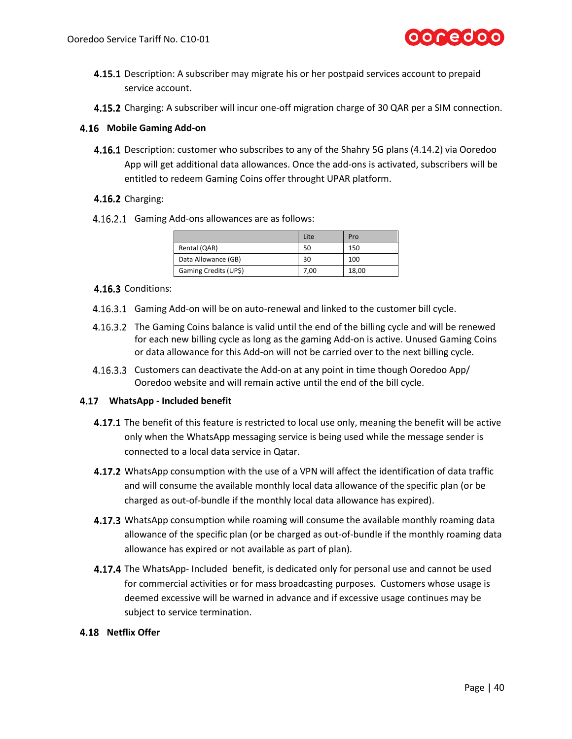

- **4.15.1** Description: A subscriber may migrate his or her postpaid services account to prepaid service account.
- 4.15.2 Charging: A subscriber will incur one-off migration charge of 30 QAR per a SIM connection.

#### **Mobile Gaming Add-on**

**4.16.1** Description: customer who subscribes to any of the Shahry 5G plans (4.14.2) via Ooredoo App will get additional data allowances. Once the add-ons is activated, subscribers will be entitled to redeem Gaming Coins offer throught UPAR platform.

#### 4.16.2 Charging:

4.16.2.1 Gaming Add-ons allowances are as follows:

|                       | Lite | Pro   |
|-----------------------|------|-------|
| Rental (QAR)          | 50   | 150   |
| Data Allowance (GB)   | 30   | 100   |
| Gaming Credits (UP\$) | 7,00 | 18,00 |

#### 4.16.3 Conditions:

- 4.16.3.1 Gaming Add-on will be on auto-renewal and linked to the customer bill cycle.
- 4.16.3.2 The Gaming Coins balance is valid until the end of the billing cycle and will be renewed for each new billing cycle as long as the gaming Add-on is active. Unused Gaming Coins or data allowance for this Add-on will not be carried over to the next billing cycle.
- 4.16.3.3 Customers can deactivate the Add-on at any point in time though Ooredoo App/ Ooredoo website and will remain active until the end of the bill cycle.

#### <span id="page-39-0"></span>**WhatsApp - Included benefit**

- **4.17.1** The benefit of this feature is restricted to local use only, meaning the benefit will be active only when the WhatsApp messaging service is being used while the message sender is connected to a local data service in Qatar.
- 4.17.2 WhatsApp consumption with the use of a VPN will affect the identification of data traffic and will consume the available monthly local data allowance of the specific plan (or be charged as out-of-bundle if the monthly local data allowance has expired).
- 4.17.3 WhatsApp consumption while roaming will consume the available monthly roaming data allowance of the specific plan (or be charged as out-of-bundle if the monthly roaming data allowance has expired or not available as part of plan).
- 4.17.4 The WhatsApp- Included benefit, is dedicated only for personal use and cannot be used for commercial activities or for mass broadcasting purposes. Customers whose usage is deemed excessive will be warned in advance and if excessive usage continues may be subject to service termination.

#### **4.18 Netflix Offer**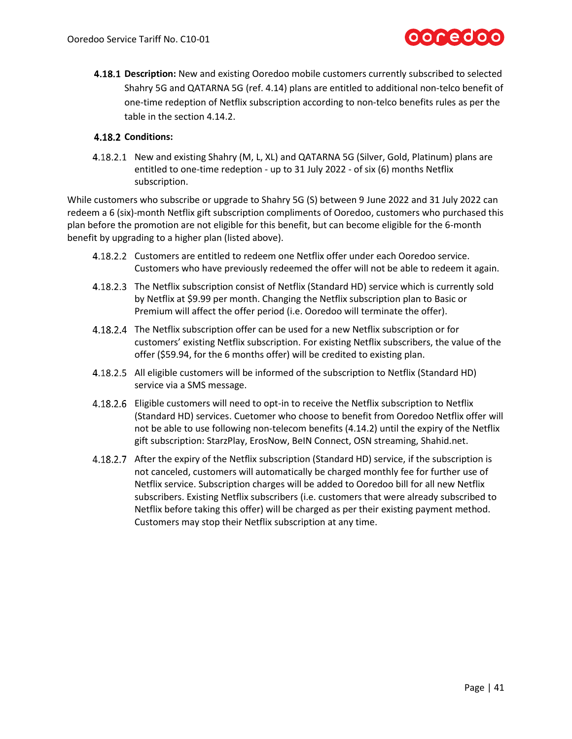

**4.18.1 Description:** New and existing Ooredoo mobile customers currently subscribed to selected Shahry 5G and QATARNA 5G (ref[. 4.14\)](#page-36-1) plans are entitled to additional non-telco benefit of one-time redeption of Netflix subscription according to non-telco benefits rules as per the table in the section 4.14.2.

#### **Conditions:**

4.18.2.1 New and existing Shahry (M, L, XL) and QATARNA 5G (Silver, Gold, Platinum) plans are entitled to one-time redeption - up to 31 July 2022 - of six (6) months Netflix subscription.

While customers who subscribe or upgrade to Shahry 5G (S) between 9 June 2022 and 31 July 2022 can redeem a 6 (six)-month Netflix gift subscription compliments of Ooredoo, customers who purchased this plan before the promotion are not eligible for this benefit, but can become eligible for the 6-month benefit by upgrading to a higher plan (listed above).

- Customers are entitled to redeem one Netflix offer under each Ooredoo service. Customers who have previously redeemed the offer will not be able to redeem it again.
- 4.18.2.3 The Netflix subscription consist of Netflix (Standard HD) service which is currently sold by Netflix at \$9.99 per month. Changing the Netflix subscription plan to Basic or Premium will affect the offer period (i.e. Ooredoo will terminate the offer).
- 4.18.2.4 The Netflix subscription offer can be used for a new Netflix subscription or for customers' existing Netflix subscription. For existing Netflix subscribers, the value of the offer (\$59.94, for the 6 months offer) will be credited to existing plan.
- All eligible customers will be informed of the subscription to Netflix (Standard HD) service via a SMS message.
- Eligible customers will need to opt-in to receive the Netflix subscription to Netflix (Standard HD) services. Cuetomer who choose to benefit from Ooredoo Netflix offer will not be able to use following non-telecom benefits [\(4.14.2\)](#page-36-0) until the expiry of the Netflix gift subscription: StarzPlay, ErosNow, BeIN Connect, OSN streaming, Shahid.net.
- After the expiry of the Netflix subscription (Standard HD) service, if the subscription is not canceled, customers will automatically be charged monthly fee for further use of Netflix service. Subscription charges will be added to Ooredoo bill for all new Netflix subscribers. Existing Netflix subscribers (i.e. customers that were already subscribed to Netflix before taking this offer) will be charged as per their existing payment method. Customers may stop their Netflix subscription at any time.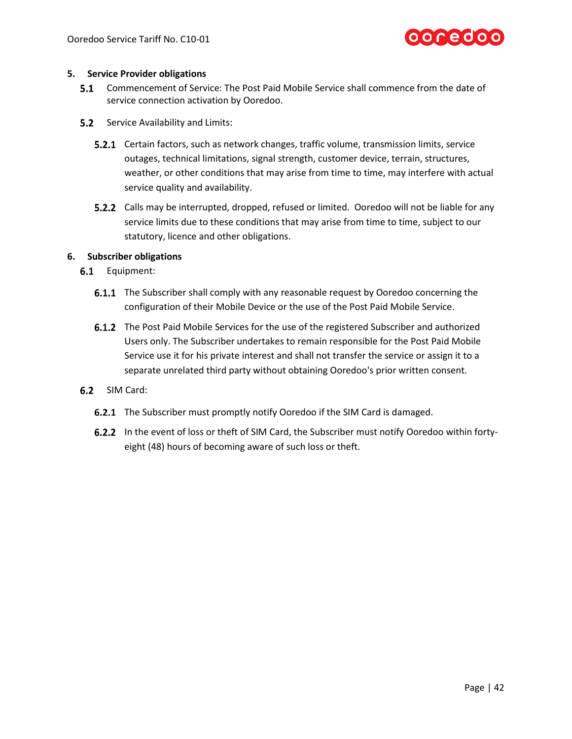

#### **5. Service Provider obligations**

- **5.1** Commencement of Service: The Post Paid Mobile Service shall commence from the date of service connection activation by Ooredoo.
- **5.2** Service Availability and Limits:
	- **5.2.1** Certain factors, such as network changes, traffic volume, transmission limits, service outages, technical limitations, signal strength, customer device, terrain, structures, weather, or other conditions that may arise from time to time, may interfere with actual service quality and availability.
	- 5.2.2 Calls may be interrupted, dropped, refused or limited. Ooredoo will not be liable for any service limits due to these conditions that may arise from time to time, subject to our statutory, licence and other obligations.

#### **6. Subscriber obligations**

- 6.1 Equipment:
	- **6.1.1** The Subscriber shall comply with any reasonable request by Ooredoo concerning the configuration of their Mobile Device or the use of the Post Paid Mobile Service.
	- **6.1.2** The Post Paid Mobile Services for the use of the registered Subscriber and authorized Users only. The Subscriber undertakes to remain responsible for the Post Paid Mobile Service use it for his private interest and shall not transfer the service or assign it to a separate unrelated third party without obtaining Ooredoo's prior written consent.
- 6.2 SIM Card:
	- **6.2.1** The Subscriber must promptly notify Ooredoo if the SIM Card is damaged.
	- 6.2.2 In the event of loss or theft of SIM Card, the Subscriber must notify Ooredoo within fortyeight (48) hours of becoming aware of such loss or theft.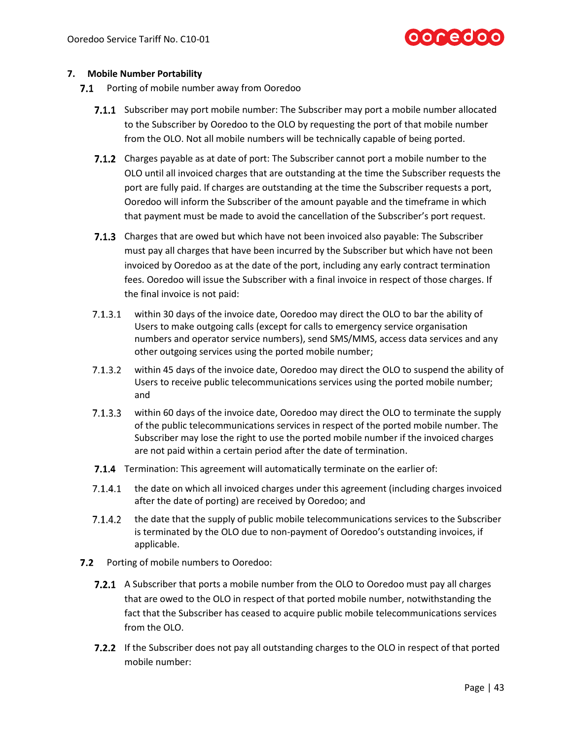#### **7. Mobile Number Portability**

- 7.1 Porting of mobile number away from Ooredoo
	- **7.1.1** Subscriber may port mobile number: The Subscriber may port a mobile number allocated to the Subscriber by Ooredoo to the OLO by requesting the port of that mobile number from the OLO. Not all mobile numbers will be technically capable of being ported.
	- **7.1.2** Charges payable as at date of port: The Subscriber cannot port a mobile number to the OLO until all invoiced charges that are outstanding at the time the Subscriber requests the port are fully paid. If charges are outstanding at the time the Subscriber requests a port, Ooredoo will inform the Subscriber of the amount payable and the timeframe in which that payment must be made to avoid the cancellation of the Subscriber's port request.
	- 7.1.3 Charges that are owed but which have not been invoiced also payable: The Subscriber must pay all charges that have been incurred by the Subscriber but which have not been invoiced by Ooredoo as at the date of the port, including any early contract termination fees. Ooredoo will issue the Subscriber with a final invoice in respect of those charges. If the final invoice is not paid:
	- $7.1.3.1$ within 30 days of the invoice date, Ooredoo may direct the OLO to bar the ability of Users to make outgoing calls (except for calls to emergency service organisation numbers and operator service numbers), send SMS/MMS, access data services and any other outgoing services using the ported mobile number;
	- $7.1.3.2$ within 45 days of the invoice date, Ooredoo may direct the OLO to suspend the ability of Users to receive public telecommunications services using the ported mobile number; and
	- $7.1.3.3$ within 60 days of the invoice date, Ooredoo may direct the OLO to terminate the supply of the public telecommunications services in respect of the ported mobile number. The Subscriber may lose the right to use the ported mobile number if the invoiced charges are not paid within a certain period after the date of termination.
	- 7.1.4 Termination: This agreement will automatically terminate on the earlier of:
	- $7.1.4.1$ the date on which all invoiced charges under this agreement (including charges invoiced after the date of porting) are received by Ooredoo; and
	- $7.1.4.2$ the date that the supply of public mobile telecommunications services to the Subscriber is terminated by the OLO due to non-payment of Ooredoo's outstanding invoices, if applicable.
- $7.2$ Porting of mobile numbers to Ooredoo:
	- 7.2.1 A Subscriber that ports a mobile number from the OLO to Ooredoo must pay all charges that are owed to the OLO in respect of that ported mobile number, notwithstanding the fact that the Subscriber has ceased to acquire public mobile telecommunications services from the OLO.
	- **7.2.2** If the Subscriber does not pay all outstanding charges to the OLO in respect of that ported mobile number: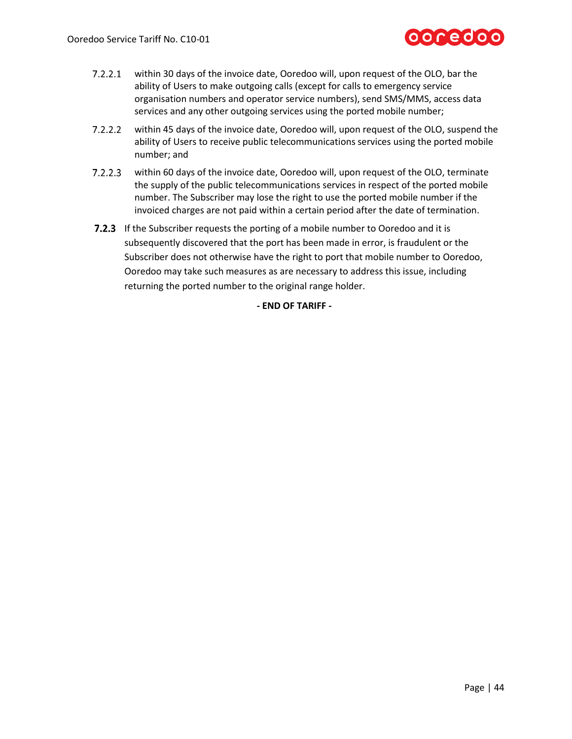## ooredoo

- $7.2.2.1$ within 30 days of the invoice date, Ooredoo will, upon request of the OLO, bar the ability of Users to make outgoing calls (except for calls to emergency service organisation numbers and operator service numbers), send SMS/MMS, access data services and any other outgoing services using the ported mobile number;
- $7.2.2.2$ within 45 days of the invoice date, Ooredoo will, upon request of the OLO, suspend the ability of Users to receive public telecommunications services using the ported mobile number; and
- $7.2.2.3$ within 60 days of the invoice date, Ooredoo will, upon request of the OLO, terminate the supply of the public telecommunications services in respect of the ported mobile number. The Subscriber may lose the right to use the ported mobile number if the invoiced charges are not paid within a certain period after the date of termination.
- **7.2.3** If the Subscriber requests the porting of a mobile number to Ooredoo and it is subsequently discovered that the port has been made in error, is fraudulent or the Subscriber does not otherwise have the right to port that mobile number to Ooredoo, Ooredoo may take such measures as are necessary to address this issue, including returning the ported number to the original range holder.

**- END OF TARIFF -**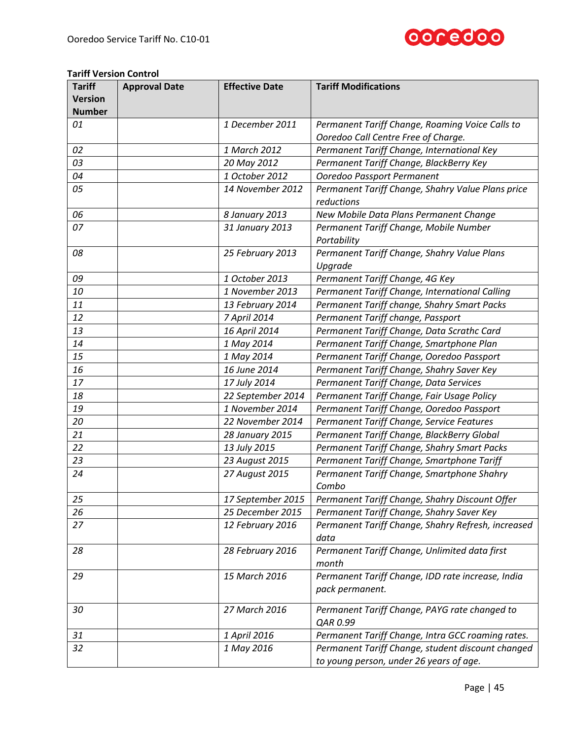

#### **Tariff Version Control**

| <b>Tariff</b>  | <b>Approval Date</b> | <b>Effective Date</b> | <b>Tariff Modifications</b>                        |
|----------------|----------------------|-----------------------|----------------------------------------------------|
| <b>Version</b> |                      |                       |                                                    |
| <b>Number</b>  |                      |                       |                                                    |
| 01             |                      | 1 December 2011       | Permanent Tariff Change, Roaming Voice Calls to    |
|                |                      |                       | Ooredoo Call Centre Free of Charge.                |
| 02             |                      | 1 March 2012          | Permanent Tariff Change, International Key         |
| 03             |                      | 20 May 2012           | Permanent Tariff Change, BlackBerry Key            |
| 04             |                      | 1 October 2012        | Ooredoo Passport Permanent                         |
| 05             |                      | 14 November 2012      | Permanent Tariff Change, Shahry Value Plans price  |
|                |                      |                       | reductions                                         |
| 06             |                      | 8 January 2013        | New Mobile Data Plans Permanent Change             |
| 07             |                      | 31 January 2013       | Permanent Tariff Change, Mobile Number             |
|                |                      |                       | Portability                                        |
| 08             |                      | 25 February 2013      | Permanent Tariff Change, Shahry Value Plans        |
|                |                      |                       | Upgrade                                            |
| 09             |                      | 1 October 2013        | Permanent Tariff Change, 4G Key                    |
| 10             |                      | 1 November 2013       | Permanent Tariff Change, International Calling     |
| 11             |                      | 13 February 2014      | Permanent Tariff change, Shahry Smart Packs        |
| 12             |                      | 7 April 2014          | Permanent Tariff change, Passport                  |
| 13             |                      | 16 April 2014         | Permanent Tariff Change, Data Scrathc Card         |
| 14             |                      | 1 May 2014            | Permanent Tariff Change, Smartphone Plan           |
| 15             |                      | 1 May 2014            | Permanent Tariff Change, Ooredoo Passport          |
| 16             |                      | 16 June 2014          | Permanent Tariff Change, Shahry Saver Key          |
| 17             |                      | 17 July 2014          | Permanent Tariff Change, Data Services             |
| 18             |                      | 22 September 2014     | Permanent Tariff Change, Fair Usage Policy         |
| 19             |                      | 1 November 2014       | Permanent Tariff Change, Ooredoo Passport          |
| 20             |                      | 22 November 2014      | Permanent Tariff Change, Service Features          |
| 21             |                      | 28 January 2015       | Permanent Tariff Change, BlackBerry Global         |
| 22             |                      | 13 July 2015          | Permanent Tariff Change, Shahry Smart Packs        |
| 23             |                      | 23 August 2015        | Permanent Tariff Change, Smartphone Tariff         |
| 24             |                      | 27 August 2015        | Permanent Tariff Change, Smartphone Shahry         |
|                |                      |                       | Combo                                              |
| 25             |                      | 17 September 2015     | Permanent Tariff Change, Shahry Discount Offer     |
| 26             |                      | 25 December 2015      | Permanent Tariff Change, Shahry Saver Key          |
| 27             |                      | 12 February 2016      | Permanent Tariff Change, Shahry Refresh, increased |
|                |                      |                       | data                                               |
| 28             |                      | 28 February 2016      | Permanent Tariff Change, Unlimited data first      |
|                |                      |                       | month                                              |
| 29             |                      | 15 March 2016         | Permanent Tariff Change, IDD rate increase, India  |
|                |                      |                       | pack permanent.                                    |
|                |                      |                       |                                                    |
| 30             |                      | 27 March 2016         | Permanent Tariff Change, PAYG rate changed to      |
|                |                      |                       | QAR 0.99                                           |
| 31             |                      | 1 April 2016          | Permanent Tariff Change, Intra GCC roaming rates.  |
| 32             |                      | 1 May 2016            | Permanent Tariff Change, student discount changed  |
|                |                      |                       | to young person, under 26 years of age.            |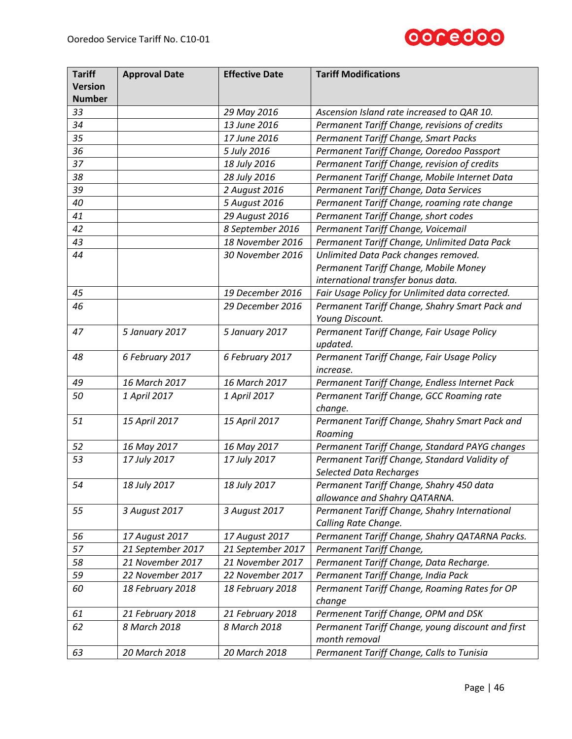

| <b>Tariff</b><br><b>Version</b> | <b>Approval Date</b> | <b>Effective Date</b> | <b>Tariff Modifications</b>                       |
|---------------------------------|----------------------|-----------------------|---------------------------------------------------|
| <b>Number</b>                   |                      |                       |                                                   |
| 33                              |                      | 29 May 2016           | Ascension Island rate increased to QAR 10.        |
| 34                              |                      | 13 June 2016          | Permanent Tariff Change, revisions of credits     |
| 35                              |                      | 17 June 2016          | Permanent Tariff Change, Smart Packs              |
| 36                              |                      | 5 July 2016           | Permanent Tariff Change, Ooredoo Passport         |
| 37                              |                      | 18 July 2016          | Permanent Tariff Change, revision of credits      |
| 38                              |                      | 28 July 2016          | Permanent Tariff Change, Mobile Internet Data     |
| 39                              |                      | 2 August 2016         | Permanent Tariff Change, Data Services            |
| 40                              |                      | 5 August 2016         | Permanent Tariff Change, roaming rate change      |
| 41                              |                      | 29 August 2016        | Permanent Tariff Change, short codes              |
| 42                              |                      | 8 September 2016      | Permanent Tariff Change, Voicemail                |
| 43                              |                      | 18 November 2016      | Permanent Tariff Change, Unlimited Data Pack      |
| 44                              |                      | 30 November 2016      | Unlimited Data Pack changes removed.              |
|                                 |                      |                       | Permanent Tariff Change, Mobile Money             |
|                                 |                      |                       | international transfer bonus data.                |
| 45                              |                      | 19 December 2016      | Fair Usage Policy for Unlimited data corrected.   |
| 46                              |                      | 29 December 2016      | Permanent Tariff Change, Shahry Smart Pack and    |
|                                 |                      |                       | Young Discount.                                   |
| 47                              | 5 January 2017       | 5 January 2017        | Permanent Tariff Change, Fair Usage Policy        |
|                                 |                      |                       | updated.                                          |
| 48                              | 6 February 2017      | 6 February 2017       | Permanent Tariff Change, Fair Usage Policy        |
|                                 |                      |                       | <i>increase.</i>                                  |
| 49                              | 16 March 2017        | 16 March 2017         | Permanent Tariff Change, Endless Internet Pack    |
| 50                              | 1 April 2017         | 1 April 2017          | Permanent Tariff Change, GCC Roaming rate         |
|                                 |                      |                       | change.                                           |
| 51                              | 15 April 2017        | 15 April 2017         | Permanent Tariff Change, Shahry Smart Pack and    |
|                                 |                      |                       | Roaming                                           |
| 52                              | 16 May 2017          | 16 May 2017           | Permanent Tariff Change, Standard PAYG changes    |
| 53                              | 17 July 2017         | 17 July 2017          | Permanent Tariff Change, Standard Validity of     |
|                                 |                      |                       | <b>Selected Data Recharges</b>                    |
| 54                              | 18 July 2017         | 18 July 2017          | Permanent Tariff Change, Shahry 450 data          |
|                                 |                      |                       | allowance and Shahry QATARNA.                     |
| 55                              | 3 August 2017        | 3 August 2017         | Permanent Tariff Change, Shahry International     |
|                                 |                      |                       | Calling Rate Change.                              |
| 56                              | 17 August 2017       | 17 August 2017        | Permanent Tariff Change, Shahry QATARNA Packs.    |
| 57                              | 21 September 2017    | 21 September 2017     | Permanent Tariff Change,                          |
| 58                              | 21 November 2017     | 21 November 2017      | Permanent Tariff Change, Data Recharge.           |
| 59                              | 22 November 2017     | 22 November 2017      | Permanent Tariff Change, India Pack               |
| 60                              | 18 February 2018     | 18 February 2018      | Permanent Tariff Change, Roaming Rates for OP     |
|                                 |                      |                       | change                                            |
| 61                              | 21 February 2018     | 21 February 2018      | Permenent Tariff Change, OPM and DSK              |
| 62                              | 8 March 2018         | 8 March 2018          | Permanent Tariff Change, young discount and first |
|                                 |                      |                       | month removal                                     |
| 63                              | 20 March 2018        | 20 March 2018         | Permanent Tariff Change, Calls to Tunisia         |